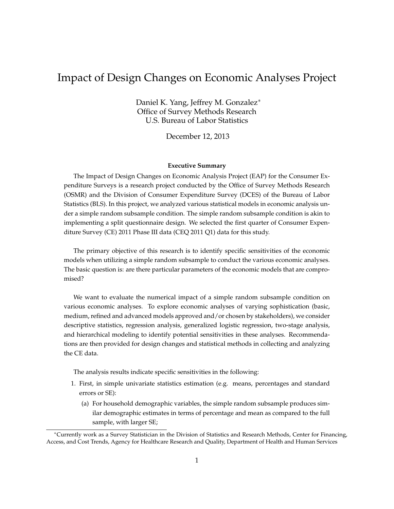# Impact of Design Changes on Economic Analyses Project

Daniel K. Yang, Jeffrey M. Gonzalez<sup>∗</sup> Office of Survey Methods Research U.S. Bureau of Labor Statistics

December 12, 2013

#### **Executive Summary**

The Impact of Design Changes on Economic Analysis Project (EAP) for the Consumer Expenditure Surveys is a research project conducted by the Office of Survey Methods Research (OSMR) and the Division of Consumer Expenditure Survey (DCES) of the Bureau of Labor Statistics (BLS). In this project, we analyzed various statistical models in economic analysis under a simple random subsample condition. The simple random subsample condition is akin to implementing a split questionnaire design. We selected the first quarter of Consumer Expenditure Survey (CE) 2011 Phase III data (CEQ 2011 Q1) data for this study.

The primary objective of this research is to identify specific sensitivities of the economic models when utilizing a simple random subsample to conduct the various economic analyses. The basic question is: are there particular parameters of the economic models that are compromised?

We want to evaluate the numerical impact of a simple random subsample condition on various economic analyses. To explore economic analyses of varying sophistication (basic, medium, refined and advanced models approved and/or chosen by stakeholders), we consider descriptive statistics, regression analysis, generalized logistic regression, two-stage analysis, and hierarchical modeling to identify potential sensitivities in these analyses. Recommendations are then provided for design changes and statistical methods in collecting and analyzing the CE data.

The analysis results indicate specific sensitivities in the following:

- 1. First, in simple univariate statistics estimation (e.g. means, percentages and standard errors or SE):
	- (a) For household demographic variables, the simple random subsample produces similar demographic estimates in terms of percentage and mean as compared to the full sample, with larger SE;

<sup>∗</sup>Currently work as a Survey Statistician in the Division of Statistics and Research Methods, Center for Financing, Access, and Cost Trends, Agency for Healthcare Research and Quality, Department of Health and Human Services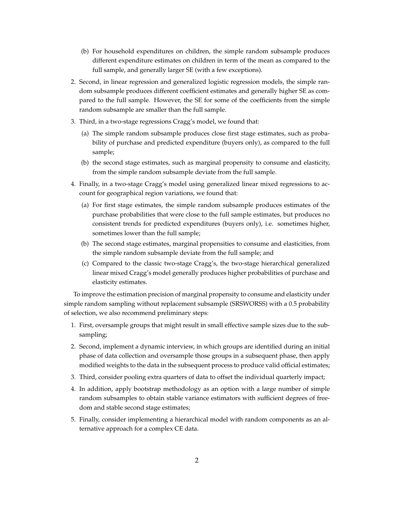- (b) For household expenditures on children, the simple random subsample produces different expenditure estimates on children in term of the mean as compared to the full sample, and generally larger SE (with a few exceptions).
- 2. Second, in linear regression and generalized logistic regression models, the simple random subsample produces different coefficient estimates and generally higher SE as compared to the full sample. However, the SE for some of the coefficients from the simple random subsample are smaller than the full sample.
- 3. Third, in a two-stage regressions Cragg's model, we found that:
	- (a) The simple random subsample produces close first stage estimates, such as probability of purchase and predicted expenditure (buyers only), as compared to the full sample;
	- (b) the second stage estimates, such as marginal propensity to consume and elasticity, from the simple random subsample deviate from the full sample.
- 4. Finally, in a two-stage Cragg's model using generalized linear mixed regressions to account for geographical region variations, we found that:
	- (a) For first stage estimates, the simple random subsample produces estimates of the purchase probabilities that were close to the full sample estimates, but produces no consistent trends for predicted expenditures (buyers only), i.e. sometimes higher, sometimes lower than the full sample;
	- (b) The second stage estimates, marginal propensities to consume and elasticities, from the simple random subsample deviate from the full sample; and
	- (c) Compared to the classic two-stage Cragg's, the two-stage hierarchical generalized linear mixed Cragg's model generally produces higher probabilities of purchase and elasticity estimates.

To improve the estimation precision of marginal propensity to consume and elasticity under simple random sampling without replacement subsample (SRSWORSS) with a 0.5 probability of selection, we also recommend preliminary steps:

- 1. First, oversample groups that might result in small effective sample sizes due to the subsampling;
- 2. Second, implement a dynamic interview, in which groups are identified during an initial phase of data collection and oversample those groups in a subsequent phase, then apply modified weights to the data in the subsequent process to produce valid official estimates;
- 3. Third, consider pooling extra quarters of data to offset the individual quarterly impact;
- 4. In addition, apply bootstrap methodology as an option with a large number of simple random subsamples to obtain stable variance estimators with sufficient degrees of freedom and stable second stage estimates;
- 5. Finally, consider implementing a hierarchical model with random components as an alternative approach for a complex CE data.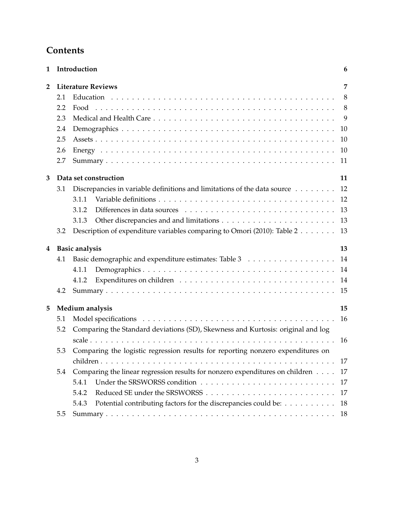# **Contents**

| 1              |     | Introduction                                                                    | 6  |
|----------------|-----|---------------------------------------------------------------------------------|----|
| $\overline{2}$ |     | <b>Literature Reviews</b>                                                       | 7  |
|                | 2.1 |                                                                                 | 8  |
|                | 2.2 |                                                                                 |    |
|                | 2.3 |                                                                                 | 9  |
|                | 2.4 |                                                                                 | 10 |
|                | 2.5 |                                                                                 | 10 |
|                | 2.6 |                                                                                 | 10 |
|                | 2.7 |                                                                                 | 11 |
| 3              |     | Data set construction                                                           | 11 |
|                | 3.1 | Discrepancies in variable definitions and limitations of the data source 12     |    |
|                |     | 3.1.1                                                                           |    |
|                |     | 3.1.2                                                                           | 13 |
|                |     | 3.1.3                                                                           |    |
|                | 3.2 | Description of expenditure variables comparing to Omori (2010): Table 2 13      |    |
| 4              |     | <b>Basic analysis</b>                                                           | 13 |
|                | 4.1 | Basic demographic and expenditure estimates: Table 3                            | 14 |
|                |     | 4.1.1                                                                           | 14 |
|                |     | 4.1.2                                                                           | 14 |
|                | 4.2 |                                                                                 | 15 |
| 5              |     | Medium analysis                                                                 | 15 |
|                | 5.1 |                                                                                 | 16 |
|                | 5.2 | Comparing the Standard deviations (SD), Skewness and Kurtosis: original and log |    |
|                |     |                                                                                 | 16 |
|                | 5.3 | Comparing the logistic regression results for reporting nonzero expenditures on |    |
|                |     |                                                                                 |    |
|                | 5.4 | Comparing the linear regression results for nonzero expenditures on children 17 |    |
|                |     | 5.4.1                                                                           |    |
|                |     | 5.4.2                                                                           |    |
|                |     | Potential contributing factors for the discrepancies could be: 18<br>5.4.3      |    |
|                | 5.5 |                                                                                 |    |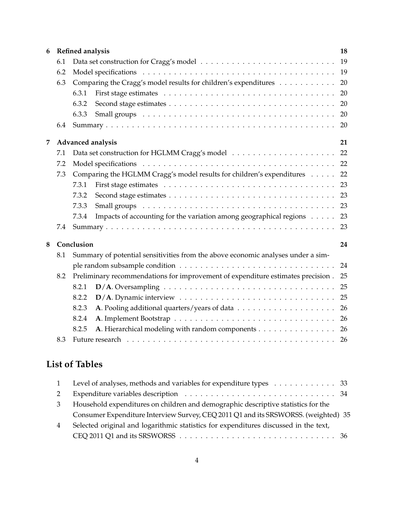| 6 |     | Refined analysis                                                                                                                                                                                                                        | 18 |
|---|-----|-----------------------------------------------------------------------------------------------------------------------------------------------------------------------------------------------------------------------------------------|----|
|   | 6.1 |                                                                                                                                                                                                                                         | 19 |
|   | 6.2 |                                                                                                                                                                                                                                         | 19 |
|   | 6.3 | Comparing the Cragg's model results for children's expenditures                                                                                                                                                                         | 20 |
|   |     | 6.3.1                                                                                                                                                                                                                                   | 20 |
|   |     | 6.3.2                                                                                                                                                                                                                                   | 20 |
|   |     | 6.3.3                                                                                                                                                                                                                                   | 20 |
|   | 6.4 |                                                                                                                                                                                                                                         | 20 |
| 7 |     | Advanced analysis                                                                                                                                                                                                                       | 21 |
|   | 7.1 |                                                                                                                                                                                                                                         |    |
|   | 7.2 |                                                                                                                                                                                                                                         |    |
|   | 7.3 | Comparing the HGLMM Cragg's model results for children's expenditures                                                                                                                                                                   | 22 |
|   |     | 7.3.1                                                                                                                                                                                                                                   |    |
|   |     | 7.3.2                                                                                                                                                                                                                                   |    |
|   |     | Small groups (and all contained a set of the contact of the contact of the small groups (all contact of the contact of the contact of the small groups (all contact of the contact of the contact of the small groups (all con<br>7.3.3 | 23 |
|   |     | Impacts of accounting for the variation among geographical regions 23<br>7.3.4                                                                                                                                                          |    |
|   | 7.4 |                                                                                                                                                                                                                                         | 23 |
| 8 |     | Conclusion                                                                                                                                                                                                                              | 24 |
|   | 8.1 | Summary of potential sensitivities from the above economic analyses under a sim-                                                                                                                                                        |    |
|   |     |                                                                                                                                                                                                                                         | 24 |
|   | 8.2 | Preliminary recommendations for improvement of expenditure estimates precision.                                                                                                                                                         | 25 |
|   |     | 8.2.1                                                                                                                                                                                                                                   | 25 |
|   |     | 8.2.2                                                                                                                                                                                                                                   |    |
|   |     | 8.2.3                                                                                                                                                                                                                                   | 26 |
|   |     | 8.2.4                                                                                                                                                                                                                                   |    |
|   |     | A. Hierarchical modeling with random components 26<br>8.2.5                                                                                                                                                                             |    |
|   | 8.3 |                                                                                                                                                                                                                                         |    |

# **List of Tables**

|   | 1 Level of analyses, methods and variables for expenditure types 33                  |  |
|---|--------------------------------------------------------------------------------------|--|
| 2 |                                                                                      |  |
| 3 | Household expenditures on children and demographic descriptive statistics for the    |  |
|   | Consumer Expenditure Interview Survey, CEQ 2011 Q1 and its SRSWORSS. (weighted) 35   |  |
| 4 | Selected original and logarithmic statistics for expenditures discussed in the text, |  |
|   |                                                                                      |  |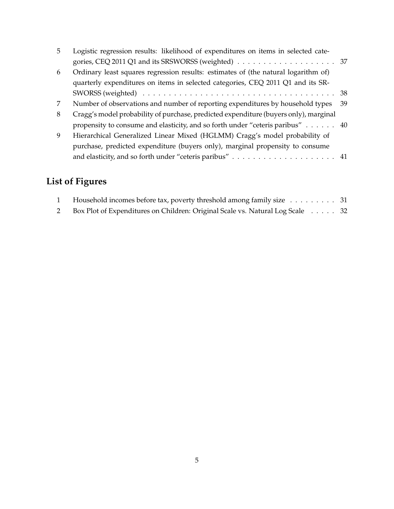| 5. | Logistic regression results: likelihood of expenditures on items in selected cate-   |    |
|----|--------------------------------------------------------------------------------------|----|
|    |                                                                                      |    |
| 6  | Ordinary least squares regression results: estimates of (the natural logarithm of)   |    |
|    | quarterly expenditures on items in selected categories, CEQ 2011 Q1 and its SR-      |    |
|    |                                                                                      |    |
| 7  | Number of observations and number of reporting expenditures by household types       | 39 |
| 8  | Cragg's model probability of purchase, predicted expenditure (buyers only), marginal |    |
|    | propensity to consume and elasticity, and so forth under "ceteris paribus" 40        |    |
| 9  | Hierarchical Generalized Linear Mixed (HGLMM) Cragg's model probability of           |    |
|    | purchase, predicted expenditure (buyers only), marginal propensity to consume        |    |
|    |                                                                                      |    |

# **List of Figures**

| Household incomes before tax, poverty threshold among family size 31          |  |
|-------------------------------------------------------------------------------|--|
| Box Plot of Expenditures on Children: Original Scale vs. Natural Log Scale 32 |  |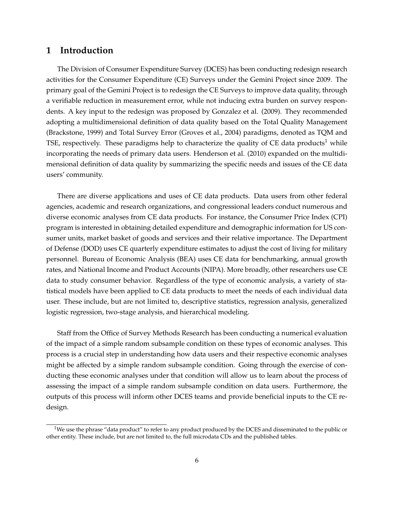### **1 Introduction**

The Division of Consumer Expenditure Survey (DCES) has been conducting redesign research activities for the Consumer Expenditure (CE) Surveys under the Gemini Project since 2009. The primary goal of the Gemini Project is to redesign the CE Surveys to improve data quality, through a verifiable reduction in measurement error, while not inducing extra burden on survey respondents. A key input to the redesign was proposed by Gonzalez et al. (2009). They recommended adopting a multidimensional definition of data quality based on the Total Quality Management (Brackstone, 1999) and Total Survey Error (Groves et al., 2004) paradigms, denoted as TQM and TSE, respectively. These paradigms help to characterize the quality of CE data products<sup>1</sup> while incorporating the needs of primary data users. Henderson et al. (2010) expanded on the multidimensional definition of data quality by summarizing the specific needs and issues of the CE data users' community.

There are diverse applications and uses of CE data products. Data users from other federal agencies, academic and research organizations, and congressional leaders conduct numerous and diverse economic analyses from CE data products. For instance, the Consumer Price Index (CPI) program is interested in obtaining detailed expenditure and demographic information for US consumer units, market basket of goods and services and their relative importance. The Department of Defense (DOD) uses CE quarterly expenditure estimates to adjust the cost of living for military personnel. Bureau of Economic Analysis (BEA) uses CE data for benchmarking, annual growth rates, and National Income and Product Accounts (NIPA). More broadly, other researchers use CE data to study consumer behavior. Regardless of the type of economic analysis, a variety of statistical models have been applied to CE data products to meet the needs of each individual data user. These include, but are not limited to, descriptive statistics, regression analysis, generalized logistic regression, two-stage analysis, and hierarchical modeling.

Staff from the Office of Survey Methods Research has been conducting a numerical evaluation of the impact of a simple random subsample condition on these types of economic analyses. This process is a crucial step in understanding how data users and their respective economic analyses might be affected by a simple random subsample condition. Going through the exercise of conducting these economic analyses under that condition will allow us to learn about the process of assessing the impact of a simple random subsample condition on data users. Furthermore, the outputs of this process will inform other DCES teams and provide beneficial inputs to the CE redesign.

<sup>&</sup>lt;sup>1</sup>We use the phrase "data product" to refer to any product produced by the DCES and disseminated to the public or other entity. These include, but are not limited to, the full microdata CDs and the published tables.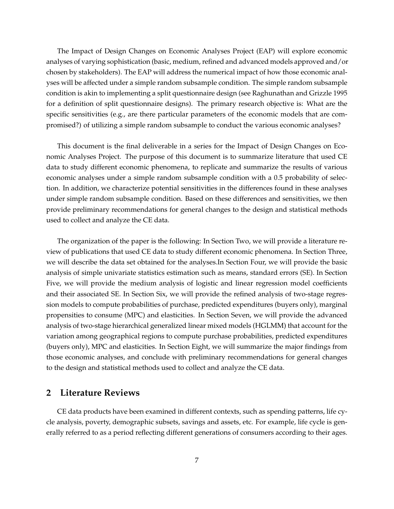The Impact of Design Changes on Economic Analyses Project (EAP) will explore economic analyses of varying sophistication (basic, medium, refined and advanced models approved and/or chosen by stakeholders). The EAP will address the numerical impact of how those economic analyses will be affected under a simple random subsample condition. The simple random subsample condition is akin to implementing a split questionnaire design (see Raghunathan and Grizzle 1995 for a definition of split questionnaire designs). The primary research objective is: What are the specific sensitivities (e.g., are there particular parameters of the economic models that are compromised?) of utilizing a simple random subsample to conduct the various economic analyses?

This document is the final deliverable in a series for the Impact of Design Changes on Economic Analyses Project. The purpose of this document is to summarize literature that used CE data to study different economic phenomena, to replicate and summarize the results of various economic analyses under a simple random subsample condition with a 0.5 probability of selection. In addition, we characterize potential sensitivities in the differences found in these analyses under simple random subsample condition. Based on these differences and sensitivities, we then provide preliminary recommendations for general changes to the design and statistical methods used to collect and analyze the CE data.

The organization of the paper is the following: In Section Two, we will provide a literature review of publications that used CE data to study different economic phenomena. In Section Three, we will describe the data set obtained for the analyses.In Section Four, we will provide the basic analysis of simple univariate statistics estimation such as means, standard errors (SE). In Section Five, we will provide the medium analysis of logistic and linear regression model coefficients and their associated SE. In Section Six, we will provide the refined analysis of two-stage regression models to compute probabilities of purchase, predicted expenditures (buyers only), marginal propensities to consume (MPC) and elasticities. In Section Seven, we will provide the advanced analysis of two-stage hierarchical generalized linear mixed models (HGLMM) that account for the variation among geographical regions to compute purchase probabilities, predicted expenditures (buyers only), MPC and elasticities. In Section Eight, we will summarize the major findings from those economic analyses, and conclude with preliminary recommendations for general changes to the design and statistical methods used to collect and analyze the CE data.

### **2 Literature Reviews**

CE data products have been examined in different contexts, such as spending patterns, life cycle analysis, poverty, demographic subsets, savings and assets, etc. For example, life cycle is generally referred to as a period reflecting different generations of consumers according to their ages.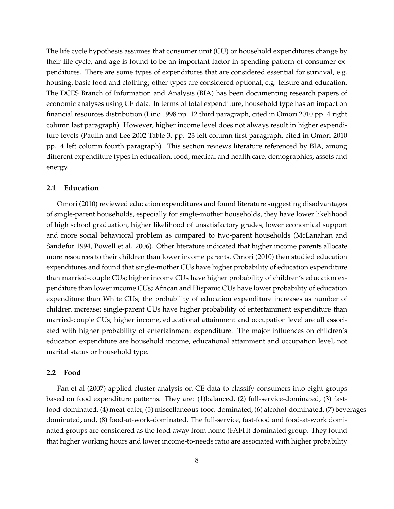The life cycle hypothesis assumes that consumer unit (CU) or household expenditures change by their life cycle, and age is found to be an important factor in spending pattern of consumer expenditures. There are some types of expenditures that are considered essential for survival, e.g. housing, basic food and clothing; other types are considered optional, e.g. leisure and education. The DCES Branch of Information and Analysis (BIA) has been documenting research papers of economic analyses using CE data. In terms of total expenditure, household type has an impact on financial resources distribution (Lino 1998 pp. 12 third paragraph, cited in Omori 2010 pp. 4 right column last paragraph). However, higher income level does not always result in higher expenditure levels (Paulin and Lee 2002 Table 3, pp. 23 left column first paragraph, cited in Omori 2010 pp. 4 left column fourth paragraph). This section reviews literature referenced by BIA, among different expenditure types in education, food, medical and health care, demographics, assets and energy.

### **2.1 Education**

Omori (2010) reviewed education expenditures and found literature suggesting disadvantages of single-parent households, especially for single-mother households, they have lower likelihood of high school graduation, higher likelihood of unsatisfactory grades, lower economical support and more social behavioral problem as compared to two-parent households (McLanahan and Sandefur 1994, Powell et al. 2006). Other literature indicated that higher income parents allocate more resources to their children than lower income parents. Omori (2010) then studied education expenditures and found that single-mother CUs have higher probability of education expenditure than married-couple CUs; higher income CUs have higher probability of children's education expenditure than lower income CUs; African and Hispanic CUs have lower probability of education expenditure than White CUs; the probability of education expenditure increases as number of children increase; single-parent CUs have higher probability of entertainment expenditure than married-couple CUs; higher income, educational attainment and occupation level are all associated with higher probability of entertainment expenditure. The major influences on children's education expenditure are household income, educational attainment and occupation level, not marital status or household type.

### **2.2 Food**

Fan et al (2007) applied cluster analysis on CE data to classify consumers into eight groups based on food expenditure patterns. They are: (1)balanced, (2) full-service-dominated, (3) fastfood-dominated, (4) meat-eater, (5) miscellaneous-food-dominated, (6) alcohol-dominated, (7) beveragesdominated, and, (8) food-at-work-dominated. The full-service, fast-food and food-at-work dominated groups are considered as the food away from home (FAFH) dominated group. They found that higher working hours and lower income-to-needs ratio are associated with higher probability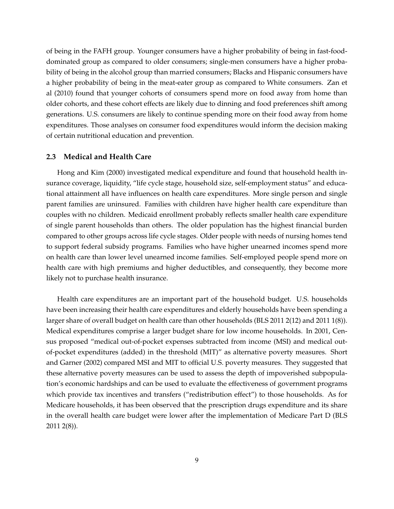of being in the FAFH group. Younger consumers have a higher probability of being in fast-fooddominated group as compared to older consumers; single-men consumers have a higher probability of being in the alcohol group than married consumers; Blacks and Hispanic consumers have a higher probability of being in the meat-eater group as compared to White consumers. Zan et al (2010) found that younger cohorts of consumers spend more on food away from home than older cohorts, and these cohort effects are likely due to dinning and food preferences shift among generations. U.S. consumers are likely to continue spending more on their food away from home expenditures. Those analyses on consumer food expenditures would inform the decision making of certain nutritional education and prevention.

### **2.3 Medical and Health Care**

Hong and Kim (2000) investigated medical expenditure and found that household health insurance coverage, liquidity, "life cycle stage, household size, self-employment status" and educational attainment all have influences on health care expenditures. More single person and single parent families are uninsured. Families with children have higher health care expenditure than couples with no children. Medicaid enrollment probably reflects smaller health care expenditure of single parent households than others. The older population has the highest financial burden compared to other groups across life cycle stages. Older people with needs of nursing homes tend to support federal subsidy programs. Families who have higher unearned incomes spend more on health care than lower level unearned income families. Self-employed people spend more on health care with high premiums and higher deductibles, and consequently, they become more likely not to purchase health insurance.

Health care expenditures are an important part of the household budget. U.S. households have been increasing their health care expenditures and elderly households have been spending a larger share of overall budget on health care than other households (BLS 2011 2(12) and 2011 1(8)). Medical expenditures comprise a larger budget share for low income households. In 2001, Census proposed "medical out-of-pocket expenses subtracted from income (MSI) and medical outof-pocket expenditures (added) in the threshold (MIT)" as alternative poverty measures. Short and Garner (2002) compared MSI and MIT to official U.S. poverty measures. They suggested that these alternative poverty measures can be used to assess the depth of impoverished subpopulation's economic hardships and can be used to evaluate the effectiveness of government programs which provide tax incentives and transfers ("redistribution effect") to those households. As for Medicare households, it has been observed that the prescription drugs expenditure and its share in the overall health care budget were lower after the implementation of Medicare Part D (BLS 2011 2(8)).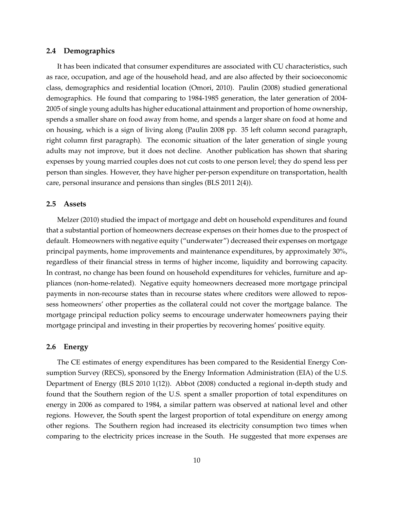### **2.4 Demographics**

It has been indicated that consumer expenditures are associated with CU characteristics, such as race, occupation, and age of the household head, and are also affected by their socioeconomic class, demographics and residential location (Omori, 2010). Paulin (2008) studied generational demographics. He found that comparing to 1984-1985 generation, the later generation of 2004- 2005 of single young adults has higher educational attainment and proportion of home ownership, spends a smaller share on food away from home, and spends a larger share on food at home and on housing, which is a sign of living along (Paulin 2008 pp. 35 left column second paragraph, right column first paragraph). The economic situation of the later generation of single young adults may not improve, but it does not decline. Another publication has shown that sharing expenses by young married couples does not cut costs to one person level; they do spend less per person than singles. However, they have higher per-person expenditure on transportation, health care, personal insurance and pensions than singles (BLS 2011 2(4)).

### **2.5 Assets**

Melzer (2010) studied the impact of mortgage and debt on household expenditures and found that a substantial portion of homeowners decrease expenses on their homes due to the prospect of default. Homeowners with negative equity ("underwater") decreased their expenses on mortgage principal payments, home improvements and maintenance expenditures, by approximately 30%, regardless of their financial stress in terms of higher income, liquidity and borrowing capacity. In contrast, no change has been found on household expenditures for vehicles, furniture and appliances (non-home-related). Negative equity homeowners decreased more mortgage principal payments in non-recourse states than in recourse states where creditors were allowed to repossess homeowners' other properties as the collateral could not cover the mortgage balance. The mortgage principal reduction policy seems to encourage underwater homeowners paying their mortgage principal and investing in their properties by recovering homes' positive equity.

### **2.6 Energy**

The CE estimates of energy expenditures has been compared to the Residential Energy Consumption Survey (RECS), sponsored by the Energy Information Administration (EIA) of the U.S. Department of Energy (BLS 2010 1(12)). Abbot (2008) conducted a regional in-depth study and found that the Southern region of the U.S. spent a smaller proportion of total expenditures on energy in 2006 as compared to 1984, a similar pattern was observed at national level and other regions. However, the South spent the largest proportion of total expenditure on energy among other regions. The Southern region had increased its electricity consumption two times when comparing to the electricity prices increase in the South. He suggested that more expenses are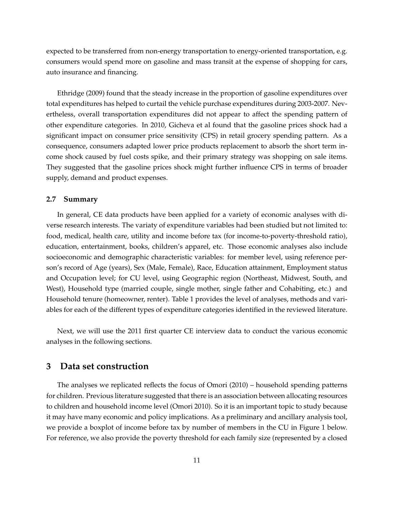expected to be transferred from non-energy transportation to energy-oriented transportation, e.g. consumers would spend more on gasoline and mass transit at the expense of shopping for cars, auto insurance and financing.

Ethridge (2009) found that the steady increase in the proportion of gasoline expenditures over total expenditures has helped to curtail the vehicle purchase expenditures during 2003-2007. Nevertheless, overall transportation expenditures did not appear to affect the spending pattern of other expenditure categories. In 2010, Gicheva et al found that the gasoline prices shock had a significant impact on consumer price sensitivity (CPS) in retail grocery spending pattern. As a consequence, consumers adapted lower price products replacement to absorb the short term income shock caused by fuel costs spike, and their primary strategy was shopping on sale items. They suggested that the gasoline prices shock might further influence CPS in terms of broader supply, demand and product expenses.

### **2.7 Summary**

In general, CE data products have been applied for a variety of economic analyses with diverse research interests. The variaty of expenditure variables had been studied but not limited to: food, medical, health care, utility and income before tax (for income-to-poverty-threshold ratio), education, entertainment, books, children's apparel, etc. Those economic analyses also include socioeconomic and demographic characteristic variables: for member level, using reference person's record of Age (years), Sex (Male, Female), Race, Education attainment, Employment status and Occupation level; for CU level, using Geographic region (Northeast, Midwest, South, and West), Household type (married couple, single mother, single father and Cohabiting, etc.) and Household tenure (homeowner, renter). Table 1 provides the level of analyses, methods and variables for each of the different types of expenditure categories identified in the reviewed literature.

Next, we will use the 2011 first quarter CE interview data to conduct the various economic analyses in the following sections.

### **3 Data set construction**

The analyses we replicated reflects the focus of Omori (2010) – household spending patterns for children. Previous literature suggested that there is an association between allocating resources to children and household income level (Omori 2010). So it is an important topic to study because it may have many economic and policy implications. As a preliminary and ancillary analysis tool, we provide a boxplot of income before tax by number of members in the CU in Figure 1 below. For reference, we also provide the poverty threshold for each family size (represented by a closed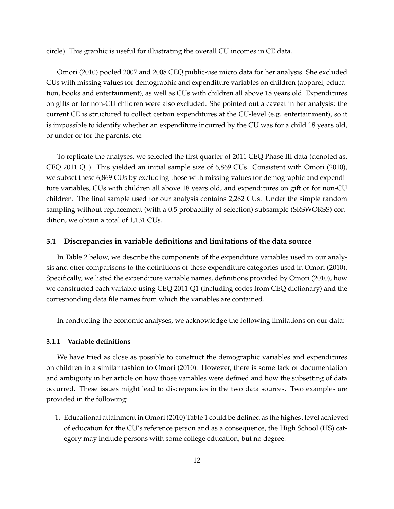circle). This graphic is useful for illustrating the overall CU incomes in CE data.

Omori (2010) pooled 2007 and 2008 CEQ public-use micro data for her analysis. She excluded CUs with missing values for demographic and expenditure variables on children (apparel, education, books and entertainment), as well as CUs with children all above 18 years old. Expenditures on gifts or for non-CU children were also excluded. She pointed out a caveat in her analysis: the current CE is structured to collect certain expenditures at the CU-level (e.g. entertainment), so it is impossible to identify whether an expenditure incurred by the CU was for a child 18 years old, or under or for the parents, etc.

To replicate the analyses, we selected the first quarter of 2011 CEQ Phase III data (denoted as, CEQ 2011 Q1). This yielded an initial sample size of 6,869 CUs. Consistent with Omori (2010), we subset these 6,869 CUs by excluding those with missing values for demographic and expenditure variables, CUs with children all above 18 years old, and expenditures on gift or for non-CU children. The final sample used for our analysis contains 2,262 CUs. Under the simple random sampling without replacement (with a 0.5 probability of selection) subsample (SRSWORSS) condition, we obtain a total of 1,131 CUs.

### **3.1 Discrepancies in variable definitions and limitations of the data source**

In Table 2 below, we describe the components of the expenditure variables used in our analysis and offer comparisons to the definitions of these expenditure categories used in Omori (2010). Specifically, we listed the expenditure variable names, definitions provided by Omori (2010), how we constructed each variable using CEQ 2011 Q1 (including codes from CEQ dictionary) and the corresponding data file names from which the variables are contained.

In conducting the economic analyses, we acknowledge the following limitations on our data:

### **3.1.1 Variable definitions**

We have tried as close as possible to construct the demographic variables and expenditures on children in a similar fashion to Omori (2010). However, there is some lack of documentation and ambiguity in her article on how those variables were defined and how the subsetting of data occurred. These issues might lead to discrepancies in the two data sources. Two examples are provided in the following:

1. Educational attainment in Omori (2010) Table 1 could be defined as the highest level achieved of education for the CU's reference person and as a consequence, the High School (HS) category may include persons with some college education, but no degree.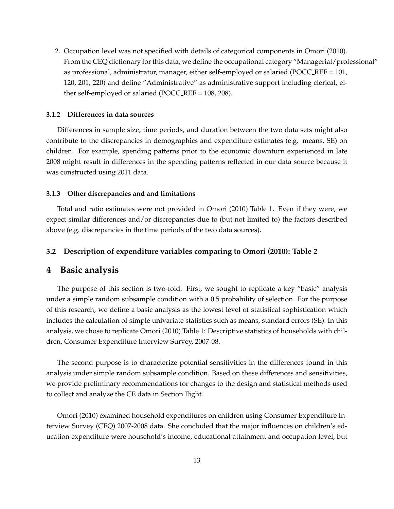2. Occupation level was not specified with details of categorical components in Omori (2010). From the CEQ dictionary for this data, we define the occupational category "Managerial/professional" as professional, administrator, manager, either self-employed or salaried (POCC REF = 101, 120, 201, 220) and define "Administrative" as administrative support including clerical, either self-employed or salaried (POCC REF = 108, 208).

### **3.1.2 Differences in data sources**

Differences in sample size, time periods, and duration between the two data sets might also contribute to the discrepancies in demographics and expenditure estimates (e.g. means, SE) on children. For example, spending patterns prior to the economic downturn experienced in late 2008 might result in differences in the spending patterns reflected in our data source because it was constructed using 2011 data.

#### **3.1.3 Other discrepancies and and limitations**

Total and ratio estimates were not provided in Omori (2010) Table 1. Even if they were, we expect similar differences and/or discrepancies due to (but not limited to) the factors described above (e.g. discrepancies in the time periods of the two data sources).

### **3.2 Description of expenditure variables comparing to Omori (2010): Table 2**

### **4 Basic analysis**

The purpose of this section is two-fold. First, we sought to replicate a key "basic" analysis under a simple random subsample condition with a 0.5 probability of selection. For the purpose of this research, we define a basic analysis as the lowest level of statistical sophistication which includes the calculation of simple univariate statistics such as means, standard errors (SE). In this analysis, we chose to replicate Omori (2010) Table 1: Descriptive statistics of households with children, Consumer Expenditure Interview Survey, 2007-08.

The second purpose is to characterize potential sensitivities in the differences found in this analysis under simple random subsample condition. Based on these differences and sensitivities, we provide preliminary recommendations for changes to the design and statistical methods used to collect and analyze the CE data in Section Eight.

Omori (2010) examined household expenditures on children using Consumer Expenditure Interview Survey (CEQ) 2007-2008 data. She concluded that the major influences on children's education expenditure were household's income, educational attainment and occupation level, but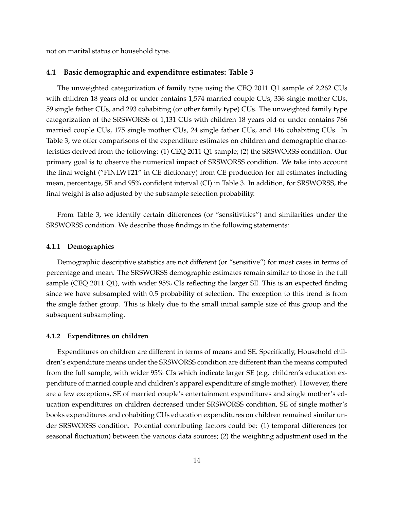not on marital status or household type.

### **4.1 Basic demographic and expenditure estimates: Table 3**

The unweighted categorization of family type using the CEQ 2011 Q1 sample of 2,262 CUs with children 18 years old or under contains 1,574 married couple CUs, 336 single mother CUs, 59 single father CUs, and 293 cohabiting (or other family type) CUs. The unweighted family type categorization of the SRSWORSS of 1,131 CUs with children 18 years old or under contains 786 married couple CUs, 175 single mother CUs, 24 single father CUs, and 146 cohabiting CUs. In Table 3, we offer comparisons of the expenditure estimates on children and demographic characteristics derived from the following: (1) CEQ 2011 Q1 sample; (2) the SRSWORSS condition. Our primary goal is to observe the numerical impact of SRSWORSS condition. We take into account the final weight ("FINLWT21" in CE dictionary) from CE production for all estimates including mean, percentage, SE and 95% confident interval (CI) in Table 3. In addition, for SRSWORSS, the final weight is also adjusted by the subsample selection probability.

From Table 3, we identify certain differences (or "sensitivities") and similarities under the SRSWORSS condition. We describe those findings in the following statements:

### **4.1.1 Demographics**

Demographic descriptive statistics are not different (or "sensitive") for most cases in terms of percentage and mean. The SRSWORSS demographic estimates remain similar to those in the full sample (CEQ 2011 Q1), with wider 95% CIs reflecting the larger SE. This is an expected finding since we have subsampled with 0.5 probability of selection. The exception to this trend is from the single father group. This is likely due to the small initial sample size of this group and the subsequent subsampling.

#### **4.1.2 Expenditures on children**

Expenditures on children are different in terms of means and SE. Specifically, Household children's expenditure means under the SRSWORSS condition are different than the means computed from the full sample, with wider 95% CIs which indicate larger SE (e.g. children's education expenditure of married couple and children's apparel expenditure of single mother). However, there are a few exceptions, SE of married couple's entertainment expenditures and single mother's education expenditures on children decreased under SRSWORSS condition, SE of single mother's books expenditures and cohabiting CUs education expenditures on children remained similar under SRSWORSS condition. Potential contributing factors could be: (1) temporal differences (or seasonal fluctuation) between the various data sources; (2) the weighting adjustment used in the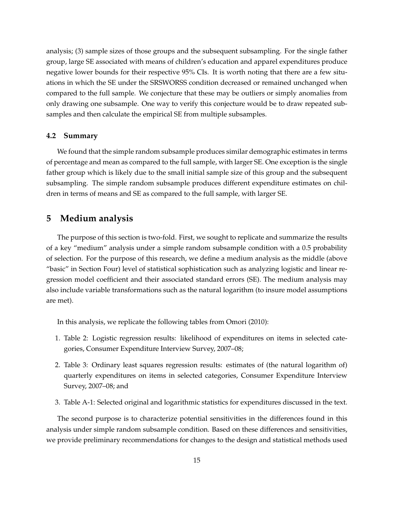analysis; (3) sample sizes of those groups and the subsequent subsampling. For the single father group, large SE associated with means of children's education and apparel expenditures produce negative lower bounds for their respective 95% CIs. It is worth noting that there are a few situations in which the SE under the SRSWORSS condition decreased or remained unchanged when compared to the full sample. We conjecture that these may be outliers or simply anomalies from only drawing one subsample. One way to verify this conjecture would be to draw repeated subsamples and then calculate the empirical SE from multiple subsamples.

### **4.2 Summary**

We found that the simple random subsample produces similar demographic estimates in terms of percentage and mean as compared to the full sample, with larger SE. One exception is the single father group which is likely due to the small initial sample size of this group and the subsequent subsampling. The simple random subsample produces different expenditure estimates on children in terms of means and SE as compared to the full sample, with larger SE.

### **5 Medium analysis**

The purpose of this section is two-fold. First, we sought to replicate and summarize the results of a key "medium" analysis under a simple random subsample condition with a 0.5 probability of selection. For the purpose of this research, we define a medium analysis as the middle (above "basic" in Section Four) level of statistical sophistication such as analyzing logistic and linear regression model coefficient and their associated standard errors (SE). The medium analysis may also include variable transformations such as the natural logarithm (to insure model assumptions are met).

In this analysis, we replicate the following tables from Omori (2010):

- 1. Table 2: Logistic regression results: likelihood of expenditures on items in selected categories, Consumer Expenditure Interview Survey, 2007–08;
- 2. Table 3: Ordinary least squares regression results: estimates of (the natural logarithm of) quarterly expenditures on items in selected categories, Consumer Expenditure Interview Survey, 2007–08; and
- 3. Table A-1: Selected original and logarithmic statistics for expenditures discussed in the text.

The second purpose is to characterize potential sensitivities in the differences found in this analysis under simple random subsample condition. Based on these differences and sensitivities, we provide preliminary recommendations for changes to the design and statistical methods used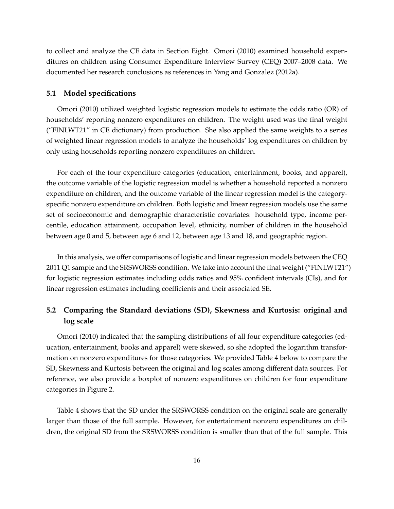to collect and analyze the CE data in Section Eight. Omori (2010) examined household expenditures on children using Consumer Expenditure Interview Survey (CEQ) 2007–2008 data. We documented her research conclusions as references in Yang and Gonzalez (2012a).

### **5.1 Model specifications**

Omori (2010) utilized weighted logistic regression models to estimate the odds ratio (OR) of households' reporting nonzero expenditures on children. The weight used was the final weight ("FINLWT21" in CE dictionary) from production. She also applied the same weights to a series of weighted linear regression models to analyze the households' log expenditures on children by only using households reporting nonzero expenditures on children.

For each of the four expenditure categories (education, entertainment, books, and apparel), the outcome variable of the logistic regression model is whether a household reported a nonzero expenditure on children, and the outcome variable of the linear regression model is the categoryspecific nonzero expenditure on children. Both logistic and linear regression models use the same set of socioeconomic and demographic characteristic covariates: household type, income percentile, education attainment, occupation level, ethnicity, number of children in the household between age 0 and 5, between age 6 and 12, between age 13 and 18, and geographic region.

In this analysis, we offer comparisons of logistic and linear regression models between the CEQ 2011 Q1 sample and the SRSWORSS condition. We take into account the final weight ("FINLWT21") for logistic regression estimates including odds ratios and 95% confident intervals (CIs), and for linear regression estimates including coefficients and their associated SE.

### **5.2 Comparing the Standard deviations (SD), Skewness and Kurtosis: original and log scale**

Omori (2010) indicated that the sampling distributions of all four expenditure categories (education, entertainment, books and apparel) were skewed, so she adopted the logarithm transformation on nonzero expenditures for those categories. We provided Table 4 below to compare the SD, Skewness and Kurtosis between the original and log scales among different data sources. For reference, we also provide a boxplot of nonzero expenditures on children for four expenditure categories in Figure 2.

Table 4 shows that the SD under the SRSWORSS condition on the original scale are generally larger than those of the full sample. However, for entertainment nonzero expenditures on children, the original SD from the SRSWORSS condition is smaller than that of the full sample. This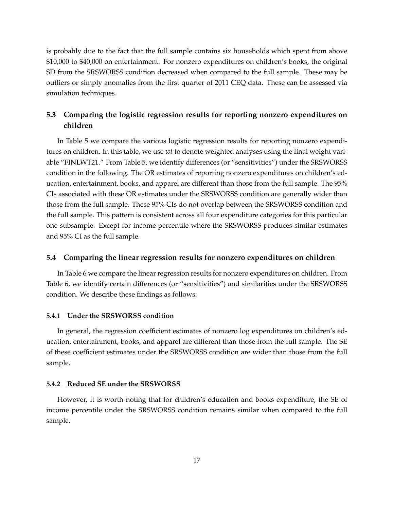is probably due to the fact that the full sample contains six households which spent from above \$10,000 to \$40,000 on entertainment. For nonzero expenditures on children's books, the original SD from the SRSWORSS condition decreased when compared to the full sample. These may be outliers or simply anomalies from the first quarter of 2011 CEQ data. These can be assessed via simulation techniques.

### **5.3 Comparing the logistic regression results for reporting nonzero expenditures on children**

In Table 5 we compare the various logistic regression results for reporting nonzero expenditures on children. In this table, we use *wt* to denote weighted analyses using the final weight variable "FINLWT21." From Table 5, we identify differences (or "sensitivities") under the SRSWORSS condition in the following. The OR estimates of reporting nonzero expenditures on children's education, entertainment, books, and apparel are different than those from the full sample. The 95% CIs associated with these OR estimates under the SRSWORSS condition are generally wider than those from the full sample. These 95% CIs do not overlap between the SRSWORSS condition and the full sample. This pattern is consistent across all four expenditure categories for this particular one subsample. Except for income percentile where the SRSWORSS produces similar estimates and 95% CI as the full sample.

### **5.4 Comparing the linear regression results for nonzero expenditures on children**

In Table 6 we compare the linear regression results for nonzero expenditures on children. From Table 6, we identify certain differences (or "sensitivities") and similarities under the SRSWORSS condition. We describe these findings as follows:

### **5.4.1 Under the SRSWORSS condition**

In general, the regression coefficient estimates of nonzero log expenditures on children's education, entertainment, books, and apparel are different than those from the full sample. The SE of these coefficient estimates under the SRSWORSS condition are wider than those from the full sample.

### **5.4.2 Reduced SE under the SRSWORSS**

However, it is worth noting that for children's education and books expenditure, the SE of income percentile under the SRSWORSS condition remains similar when compared to the full sample.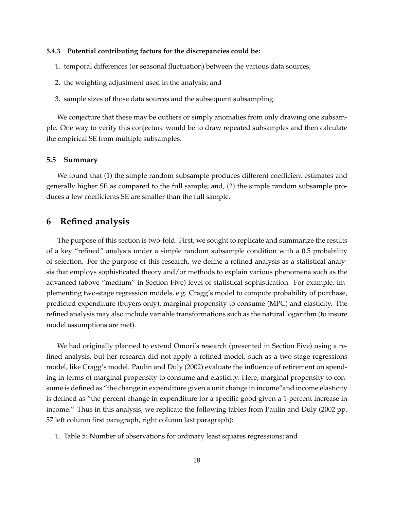### **5.4.3 Potential contributing factors for the discrepancies could be:**

- 1. temporal differences (or seasonal fluctuation) between the various data sources;
- 2. the weighting adjustment used in the analysis; and
- 3. sample sizes of those data sources and the subsequent subsampling.

We conjecture that these may be outliers or simply anomalies from only drawing one subsample. One way to verify this conjecture would be to draw repeated subsamples and then calculate the empirical SE from multiple subsamples.

### **5.5 Summary**

We found that (1) the simple random subsample produces different coefficient estimates and generally higher SE as compared to the full sample; and, (2) the simple random subsample produces a few coefficients SE are smaller than the full sample.

### **6 Refined analysis**

The purpose of this section is two-fold. First, we sought to replicate and summarize the results of a key "refined" analysis under a simple random subsample condition with a 0.5 probability of selection. For the purpose of this research, we define a refined analysis as a statistical analysis that employs sophisticated theory and/or methods to explain various phenomena such as the advanced (above "medium" in Section Five) level of statistical sophistication. For example, implementing two-stage regression models, e.g. Cragg's model to compute probability of purchase, predicted expenditure (buyers only), marginal propensity to consume (MPC) and elasticity. The refined analysis may also include variable transformations such as the natural logarithm (to insure model assumptions are met).

We had originally planned to extend Omori's research (presented in Section Five) using a refined analysis, but her research did not apply a refined model, such as a two-stage regressions model, like Cragg's model. Paulin and Duly (2002) evaluate the influence of retirement on spending in terms of marginal propensity to consume and elasticity. Here, marginal propensity to consume is defined as "the change in expenditure given a unit change in income"and income elasticity is defined as "the percent change in expenditure for a specific good given a 1-percent increase in income." Thus in this analysis, we replicate the following tables from Paulin and Duly (2002 pp. 57 left column first paragraph, right column last paragraph):

1. Table 5: Number of observations for ordinary least squares regressions; and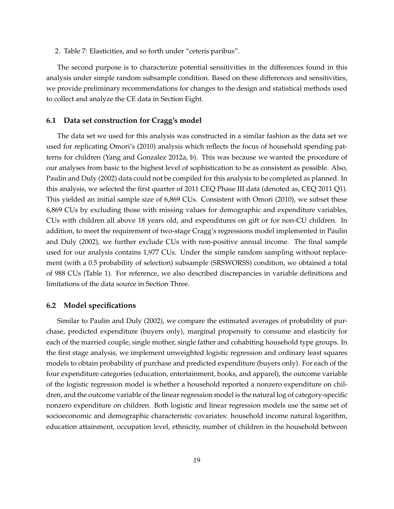2. Table 7: Elasticities, and so forth under "ceteris paribus".

The second purpose is to characterize potential sensitivities in the differences found in this analysis under simple random subsample condition. Based on these differences and sensitivities, we provide preliminary recommendations for changes to the design and statistical methods used to collect and analyze the CE data in Section Eight.

### **6.1 Data set construction for Cragg's model**

The data set we used for this analysis was constructed in a similar fashion as the data set we used for replicating Omori's (2010) analysis which reflects the focus of household spending patterns for children (Yang and Gonzalez 2012a, b). This was because we wanted the procedure of our analyses from basic to the highest level of sophistication to be as consistent as possible. Also, Paulin and Duly (2002) data could not be compiled for this analysis to be completed as planned. In this analysis, we selected the first quarter of 2011 CEQ Phase III data (denoted as, CEQ 2011 Q1). This yielded an initial sample size of 6,869 CUs. Consistent with Omori (2010), we subset these 6,869 CUs by excluding those with missing values for demographic and expenditure variables, CUs with children all above 18 years old, and expenditures on gift or for non-CU children. In addition, to meet the requirement of two-stage Cragg's regressions model implemented in Paulin and Duly (2002), we further exclude CUs with non-positive annual income. The final sample used for our analysis contains 1,977 CUs. Under the simple random sampling without replacement (with a 0.5 probability of selection) subsample (SRSWORSS) condition, we obtained a total of 988 CUs (Table 1). For reference, we also described discrepancies in variable definitions and limitations of the data source in Section Three.

### **6.2 Model specifications**

Similar to Paulin and Duly (2002), we compare the estimated averages of probability of purchase, predicted expenditure (buyers only), marginal propensity to consume and elasticity for each of the married couple, single mother, single father and cohabiting household type groups. In the first stage analysis, we implement unweighted logistic regression and ordinary least squares models to obtain probability of purchase and predicted expenditure (buyers only). For each of the four expenditure categories (education, entertainment, books, and apparel), the outcome variable of the logistic regression model is whether a household reported a nonzero expenditure on children, and the outcome variable of the linear regression model is the natural log of category-specific nonzero expenditure on children. Both logistic and linear regression models use the same set of socioeconomic and demographic characteristic covariates: household income natural logarithm, education attainment, occupation level, ethnicity, number of children in the household between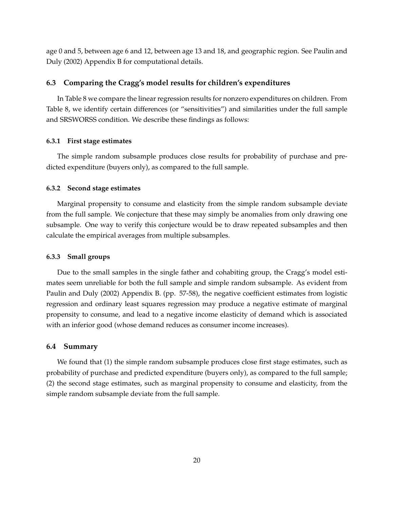age 0 and 5, between age 6 and 12, between age 13 and 18, and geographic region. See Paulin and Duly (2002) Appendix B for computational details.

### **6.3 Comparing the Cragg's model results for children's expenditures**

In Table 8 we compare the linear regression results for nonzero expenditures on children. From Table 8, we identify certain differences (or "sensitivities") and similarities under the full sample and SRSWORSS condition. We describe these findings as follows:

### **6.3.1 First stage estimates**

The simple random subsample produces close results for probability of purchase and predicted expenditure (buyers only), as compared to the full sample.

#### **6.3.2 Second stage estimates**

Marginal propensity to consume and elasticity from the simple random subsample deviate from the full sample. We conjecture that these may simply be anomalies from only drawing one subsample. One way to verify this conjecture would be to draw repeated subsamples and then calculate the empirical averages from multiple subsamples.

### **6.3.3 Small groups**

Due to the small samples in the single father and cohabiting group, the Cragg's model estimates seem unreliable for both the full sample and simple random subsample. As evident from Paulin and Duly (2002) Appendix B. (pp. 57-58), the negative coefficient estimates from logistic regression and ordinary least squares regression may produce a negative estimate of marginal propensity to consume, and lead to a negative income elasticity of demand which is associated with an inferior good (whose demand reduces as consumer income increases).

### **6.4 Summary**

We found that (1) the simple random subsample produces close first stage estimates, such as probability of purchase and predicted expenditure (buyers only), as compared to the full sample; (2) the second stage estimates, such as marginal propensity to consume and elasticity, from the simple random subsample deviate from the full sample.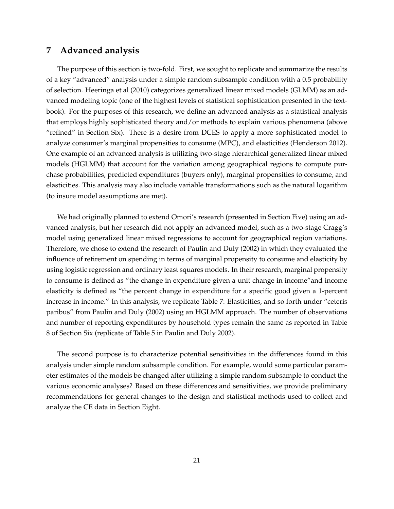## **7 Advanced analysis**

The purpose of this section is two-fold. First, we sought to replicate and summarize the results of a key "advanced" analysis under a simple random subsample condition with a 0.5 probability of selection. Heeringa et al (2010) categorizes generalized linear mixed models (GLMM) as an advanced modeling topic (one of the highest levels of statistical sophistication presented in the textbook). For the purposes of this research, we define an advanced analysis as a statistical analysis that employs highly sophisticated theory and/or methods to explain various phenomena (above "refined" in Section Six). There is a desire from DCES to apply a more sophisticated model to analyze consumer's marginal propensities to consume (MPC), and elasticities (Henderson 2012). One example of an advanced analysis is utilizing two-stage hierarchical generalized linear mixed models (HGLMM) that account for the variation among geographical regions to compute purchase probabilities, predicted expenditures (buyers only), marginal propensities to consume, and elasticities. This analysis may also include variable transformations such as the natural logarithm (to insure model assumptions are met).

We had originally planned to extend Omori's research (presented in Section Five) using an advanced analysis, but her research did not apply an advanced model, such as a two-stage Cragg's model using generalized linear mixed regressions to account for geographical region variations. Therefore, we chose to extend the research of Paulin and Duly (2002) in which they evaluated the influence of retirement on spending in terms of marginal propensity to consume and elasticity by using logistic regression and ordinary least squares models. In their research, marginal propensity to consume is defined as "the change in expenditure given a unit change in income"and income elasticity is defined as "the percent change in expenditure for a specific good given a 1-percent increase in income." In this analysis, we replicate Table 7: Elasticities, and so forth under "ceteris paribus" from Paulin and Duly (2002) using an HGLMM approach. The number of observations and number of reporting expenditures by household types remain the same as reported in Table 8 of Section Six (replicate of Table 5 in Paulin and Duly 2002).

The second purpose is to characterize potential sensitivities in the differences found in this analysis under simple random subsample condition. For example, would some particular parameter estimates of the models be changed after utilizing a simple random subsample to conduct the various economic analyses? Based on these differences and sensitivities, we provide preliminary recommendations for general changes to the design and statistical methods used to collect and analyze the CE data in Section Eight.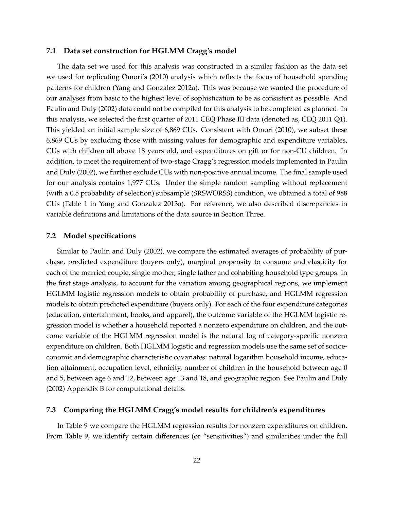### **7.1 Data set construction for HGLMM Cragg's model**

The data set we used for this analysis was constructed in a similar fashion as the data set we used for replicating Omori's (2010) analysis which reflects the focus of household spending patterns for children (Yang and Gonzalez 2012a). This was because we wanted the procedure of our analyses from basic to the highest level of sophistication to be as consistent as possible. And Paulin and Duly (2002) data could not be compiled for this analysis to be completed as planned. In this analysis, we selected the first quarter of 2011 CEQ Phase III data (denoted as, CEQ 2011 Q1). This yielded an initial sample size of 6,869 CUs. Consistent with Omori (2010), we subset these 6,869 CUs by excluding those with missing values for demographic and expenditure variables, CUs with children all above 18 years old, and expenditures on gift or for non-CU children. In addition, to meet the requirement of two-stage Cragg's regression models implemented in Paulin and Duly (2002), we further exclude CUs with non-positive annual income. The final sample used for our analysis contains 1,977 CUs. Under the simple random sampling without replacement (with a 0.5 probability of selection) subsample (SRSWORSS) condition, we obtained a total of 988 CUs (Table 1 in Yang and Gonzalez 2013a). For reference, we also described discrepancies in variable definitions and limitations of the data source in Section Three.

### **7.2 Model specifications**

Similar to Paulin and Duly (2002), we compare the estimated averages of probability of purchase, predicted expenditure (buyers only), marginal propensity to consume and elasticity for each of the married couple, single mother, single father and cohabiting household type groups. In the first stage analysis, to account for the variation among geographical regions, we implement HGLMM logistic regression models to obtain probability of purchase, and HGLMM regression models to obtain predicted expenditure (buyers only). For each of the four expenditure categories (education, entertainment, books, and apparel), the outcome variable of the HGLMM logistic regression model is whether a household reported a nonzero expenditure on children, and the outcome variable of the HGLMM regression model is the natural log of category-specific nonzero expenditure on children. Both HGLMM logistic and regression models use the same set of socioeconomic and demographic characteristic covariates: natural logarithm household income, education attainment, occupation level, ethnicity, number of children in the household between age 0 and 5, between age 6 and 12, between age 13 and 18, and geographic region. See Paulin and Duly (2002) Appendix B for computational details.

### **7.3 Comparing the HGLMM Cragg's model results for children's expenditures**

In Table 9 we compare the HGLMM regression results for nonzero expenditures on children. From Table 9, we identify certain differences (or "sensitivities") and similarities under the full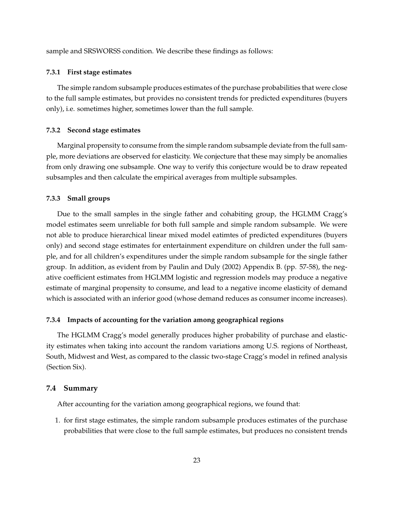sample and SRSWORSS condition. We describe these findings as follows:

### **7.3.1 First stage estimates**

The simple random subsample produces estimates of the purchase probabilities that were close to the full sample estimates, but provides no consistent trends for predicted expenditures (buyers only), i.e. sometimes higher, sometimes lower than the full sample.

#### **7.3.2 Second stage estimates**

Marginal propensity to consume from the simple random subsample deviate from the full sample, more deviations are observed for elasticity. We conjecture that these may simply be anomalies from only drawing one subsample. One way to verify this conjecture would be to draw repeated subsamples and then calculate the empirical averages from multiple subsamples.

#### **7.3.3 Small groups**

Due to the small samples in the single father and cohabiting group, the HGLMM Cragg's model estimates seem unreliable for both full sample and simple random subsample. We were not able to produce hierarchical linear mixed model eatimtes of predicted expenditures (buyers only) and second stage estimates for entertainment expenditure on children under the full sample, and for all children's expenditures under the simple random subsample for the single father group. In addition, as evident from by Paulin and Duly (2002) Appendix B. (pp. 57-58), the negative coefficient estimates from HGLMM logistic and regression models may produce a negative estimate of marginal propensity to consume, and lead to a negative income elasticity of demand which is associated with an inferior good (whose demand reduces as consumer income increases).

### **7.3.4 Impacts of accounting for the variation among geographical regions**

The HGLMM Cragg's model generally produces higher probability of purchase and elasticity estimates when taking into account the random variations among U.S. regions of Northeast, South, Midwest and West, as compared to the classic two-stage Cragg's model in refined analysis (Section Six).

### **7.4 Summary**

After accounting for the variation among geographical regions, we found that:

1. for first stage estimates, the simple random subsample produces estimates of the purchase probabilities that were close to the full sample estimates, but produces no consistent trends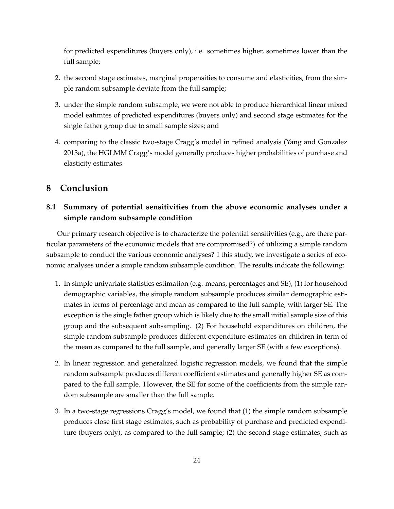for predicted expenditures (buyers only), i.e. sometimes higher, sometimes lower than the full sample;

- 2. the second stage estimates, marginal propensities to consume and elasticities, from the simple random subsample deviate from the full sample;
- 3. under the simple random subsample, we were not able to produce hierarchical linear mixed model eatimtes of predicted expenditures (buyers only) and second stage estimates for the single father group due to small sample sizes; and
- 4. comparing to the classic two-stage Cragg's model in refined analysis (Yang and Gonzalez 2013a), the HGLMM Cragg's model generally produces higher probabilities of purchase and elasticity estimates.

### **8 Conclusion**

### **8.1 Summary of potential sensitivities from the above economic analyses under a simple random subsample condition**

Our primary research objective is to characterize the potential sensitivities (e.g., are there particular parameters of the economic models that are compromised?) of utilizing a simple random subsample to conduct the various economic analyses? I this study, we investigate a series of economic analyses under a simple random subsample condition. The results indicate the following:

- 1. In simple univariate statistics estimation (e.g. means, percentages and SE), (1) for household demographic variables, the simple random subsample produces similar demographic estimates in terms of percentage and mean as compared to the full sample, with larger SE. The exception is the single father group which is likely due to the small initial sample size of this group and the subsequent subsampling. (2) For household expenditures on children, the simple random subsample produces different expenditure estimates on children in term of the mean as compared to the full sample, and generally larger SE (with a few exceptions).
- 2. In linear regression and generalized logistic regression models, we found that the simple random subsample produces different coefficient estimates and generally higher SE as compared to the full sample. However, the SE for some of the coefficients from the simple random subsample are smaller than the full sample.
- 3. In a two-stage regressions Cragg's model, we found that (1) the simple random subsample produces close first stage estimates, such as probability of purchase and predicted expenditure (buyers only), as compared to the full sample; (2) the second stage estimates, such as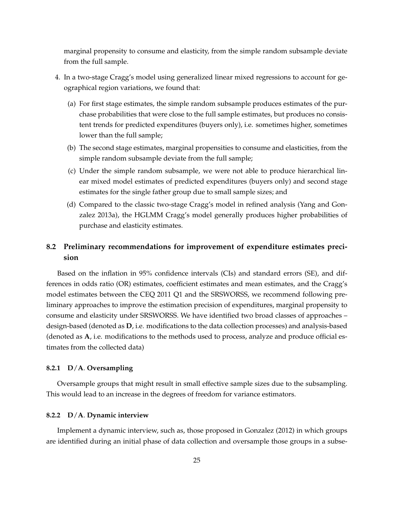marginal propensity to consume and elasticity, from the simple random subsample deviate from the full sample.

- 4. In a two-stage Cragg's model using generalized linear mixed regressions to account for geographical region variations, we found that:
	- (a) For first stage estimates, the simple random subsample produces estimates of the purchase probabilities that were close to the full sample estimates, but produces no consistent trends for predicted expenditures (buyers only), i.e. sometimes higher, sometimes lower than the full sample;
	- (b) The second stage estimates, marginal propensities to consume and elasticities, from the simple random subsample deviate from the full sample;
	- (c) Under the simple random subsample, we were not able to produce hierarchical linear mixed model estimates of predicted expenditures (buyers only) and second stage estimates for the single father group due to small sample sizes; and
	- (d) Compared to the classic two-stage Cragg's model in refined analysis (Yang and Gonzalez 2013a), the HGLMM Cragg's model generally produces higher probabilities of purchase and elasticity estimates.

### **8.2 Preliminary recommendations for improvement of expenditure estimates precision**

Based on the inflation in 95% confidence intervals (CIs) and standard errors (SE), and differences in odds ratio (OR) estimates, coefficient estimates and mean estimates, and the Cragg's model estimates between the CEQ 2011 Q1 and the SRSWORSS, we recommend following preliminary approaches to improve the estimation precision of expenditures, marginal propensity to consume and elasticity under SRSWORSS. We have identified two broad classes of approaches – design-based (denoted as **D**, i.e. modifications to the data collection processes) and analysis-based (denoted as **A**, i.e. modifications to the methods used to process, analyze and produce official estimates from the collected data)

### **8.2.1 D**/**A**. **Oversampling**

Oversample groups that might result in small effective sample sizes due to the subsampling. This would lead to an increase in the degrees of freedom for variance estimators.

### **8.2.2 D**/**A**. **Dynamic interview**

Implement a dynamic interview, such as, those proposed in Gonzalez (2012) in which groups are identified during an initial phase of data collection and oversample those groups in a subse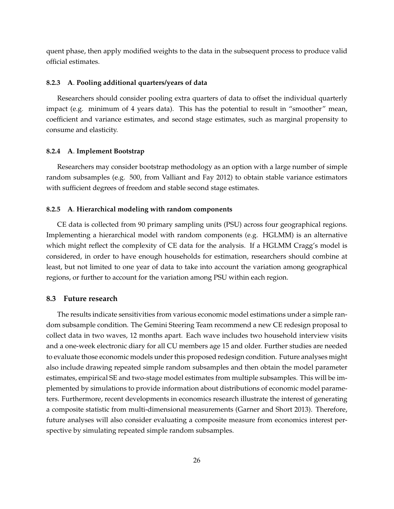quent phase, then apply modified weights to the data in the subsequent process to produce valid official estimates.

#### **8.2.3 A**. **Pooling additional quarters/years of data**

Researchers should consider pooling extra quarters of data to offset the individual quarterly impact (e.g. minimum of 4 years data). This has the potential to result in "smoother" mean, coefficient and variance estimates, and second stage estimates, such as marginal propensity to consume and elasticity.

### **8.2.4 A**. **Implement Bootstrap**

Researchers may consider bootstrap methodology as an option with a large number of simple random subsamples (e.g. 500, from Valliant and Fay 2012) to obtain stable variance estimators with sufficient degrees of freedom and stable second stage estimates.

### **8.2.5 A**. **Hierarchical modeling with random components**

CE data is collected from 90 primary sampling units (PSU) across four geographical regions. Implementing a hierarchical model with random components (e.g. HGLMM) is an alternative which might reflect the complexity of CE data for the analysis. If a HGLMM Cragg's model is considered, in order to have enough households for estimation, researchers should combine at least, but not limited to one year of data to take into account the variation among geographical regions, or further to account for the variation among PSU within each region.

### **8.3 Future research**

The results indicate sensitivities from various economic model estimations under a simple random subsample condition. The Gemini Steering Team recommend a new CE redesign proposal to collect data in two waves, 12 months apart. Each wave includes two household interview visits and a one-week electronic diary for all CU members age 15 and older. Further studies are needed to evaluate those economic models under this proposed redesign condition. Future analyses might also include drawing repeated simple random subsamples and then obtain the model parameter estimates, empirical SE and two-stage model estimates from multiple subsamples. This will be implemented by simulations to provide information about distributions of economic model parameters. Furthermore, recent developments in economics research illustrate the interest of generating a composite statistic from multi-dimensional measurements (Garner and Short 2013). Therefore, future analyses will also consider evaluating a composite measure from economics interest perspective by simulating repeated simple random subsamples.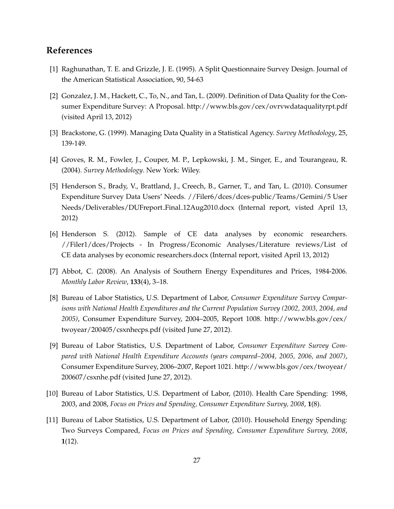## **References**

- [1] Raghunathan, T. E. and Grizzle, J. E. (1995). A Split Questionnaire Survey Design. Journal of the American Statistical Association, 90, 54-63
- [2] Gonzalez, J. M., Hackett, C., To, N., and Tan, L. (2009). Definition of Data Quality for the Consumer Expenditure Survey: A Proposal. http://www.bls.gov/cex/ovrvwdataqualityrpt.pdf (visited April 13, 2012)
- [3] Brackstone, G. (1999). Managing Data Quality in a Statistical Agency. *Survey Methodology*, 25, 139-149.
- [4] Groves, R. M., Fowler, J., Couper, M. P., Lepkowski, J. M., Singer, E., and Tourangeau, R. (2004). *Survey Methodology*. New York: Wiley.
- [5] Henderson S., Brady, V., Brattland, J., Creech, B., Garner, T., and Tan, L. (2010). Consumer Expenditure Survey Data Users' Needs. //Filer6/dces/dces-public/Teams/Gemini/5 User Needs/Deliverables/DUFreport Final 12Aug2010.docx (Internal report, visted April 13, 2012)
- [6] Henderson S. (2012). Sample of CE data analyses by economic researchers. //Filer1/dces/Projects - In Progress/Economic Analyses/Literature reviews/List of CE data analyses by economic researchers.docx (Internal report, visited April 13, 2012)
- [7] Abbot, C. (2008). An Analysis of Southern Energy Expenditures and Prices, 1984-2006. *Monthly Labor Review*, **133**(4), 3–18.
- [8] Bureau of Labor Statistics, U.S. Department of Labor, *Consumer Expenditure Survey Comparisons with National Health Expenditures and the Current Population Survey (2002, 2003, 2004, and 2005)*, Consumer Expenditure Survey, 2004–2005, Report 1008. http://www.bls.gov/cex/ twoyear/200405/csxnhecps.pdf (visited June 27, 2012).
- [9] Bureau of Labor Statistics, U.S. Department of Labor, *Consumer Expenditure Survey Compared with National Health Expenditure Accounts (years compared–2004, 2005, 2006, and 2007)*, Consumer Expenditure Survey, 2006–2007, Report 1021. http://www.bls.gov/cex/twoyear/ 200607/csxnhe.pdf (visited June 27, 2012).
- [10] Bureau of Labor Statistics, U.S. Department of Labor, (2010). Health Care Spending: 1998, 2003, and 2008, *Focus on Prices and Spending, Consumer Expenditure Survey, 2008*, **1**(8).
- [11] Bureau of Labor Statistics, U.S. Department of Labor, (2010). Household Energy Spending: Two Surveys Compared, *Focus on Prices and Spending, Consumer Expenditure Survey, 2008*, **1**(12).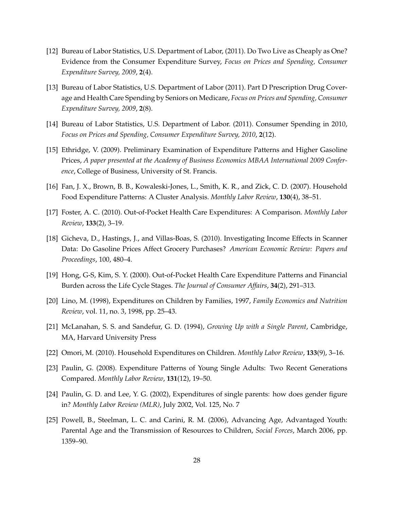- [12] Bureau of Labor Statistics, U.S. Department of Labor, (2011). Do Two Live as Cheaply as One? Evidence from the Consumer Expenditure Survey, *Focus on Prices and Spending, Consumer Expenditure Survey, 2009*, **2**(4).
- [13] Bureau of Labor Statistics, U.S. Department of Labor (2011). Part D Prescription Drug Coverage and Health Care Spending by Seniors on Medicare, *Focus on Prices and Spending, Consumer Expenditure Survey, 2009*, **2**(8).
- [14] Bureau of Labor Statistics, U.S. Department of Labor. (2011). Consumer Spending in 2010, *Focus on Prices and Spending, Consumer Expenditure Survey, 2010*, **2**(12).
- [15] Ethridge, V. (2009). Preliminary Examination of Expenditure Patterns and Higher Gasoline Prices, *A paper presented at the Academy of Business Economics MBAA International 2009 Conference*, College of Business, University of St. Francis.
- [16] Fan, J. X., Brown, B. B., Kowaleski-Jones, L., Smith, K. R., and Zick, C. D. (2007). Household Food Expenditure Patterns: A Cluster Analysis. *Monthly Labor Review*, **130**(4), 38–51.
- [17] Foster, A. C. (2010). Out-of-Pocket Health Care Expenditures: A Comparison. *Monthly Labor Review*, **133**(2), 3–19.
- [18] Gicheva, D., Hastings, J., and Villas-Boas, S. (2010). Investigating Income Effects in Scanner Data: Do Gasoline Prices Affect Grocery Purchases? *American Economic Review: Papers and Proceedings*, 100, 480–4.
- [19] Hong, G-S, Kim, S. Y. (2000). Out-of-Pocket Health Care Expenditure Patterns and Financial Burden across the Life Cycle Stages. *The Journal of Consumer Affairs*, **34**(2), 291–313.
- [20] Lino, M. (1998), Expenditures on Children by Families, 1997, *Family Economics and Nutrition Review*, vol. 11, no. 3, 1998, pp. 25–43.
- [21] McLanahan, S. S. and Sandefur, G. D. (1994), *Growing Up with a Single Parent*, Cambridge, MA, Harvard University Press
- [22] Omori, M. (2010). Household Expenditures on Children. *Monthly Labor Review*, **133**(9), 3–16.
- [23] Paulin, G. (2008). Expenditure Patterns of Young Single Adults: Two Recent Generations Compared. *Monthly Labor Review*, **131**(12), 19–50.
- [24] Paulin, G. D. and Lee, Y. G. (2002), Expenditures of single parents: how does gender figure in? *Monthly Labor Review (MLR)*, July 2002, Vol. 125, No. 7
- [25] Powell, B., Steelman, L. C. and Carini, R. M. (2006), Advancing Age, Advantaged Youth: Parental Age and the Transmission of Resources to Children, *Social Forces*, March 2006, pp. 1359–90.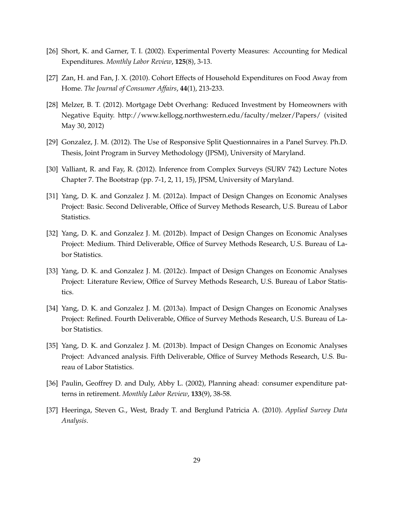- [26] Short, K. and Garner, T. I. (2002). Experimental Poverty Measures: Accounting for Medical Expenditures. *Monthly Labor Review*, **125**(8), 3-13.
- [27] Zan, H. and Fan, J. X. (2010). Cohort Effects of Household Expenditures on Food Away from Home. *The Journal of Consumer Affairs*, **44**(1), 213-233.
- [28] Melzer, B. T. (2012). Mortgage Debt Overhang: Reduced Investment by Homeowners with Negative Equity. http://www.kellogg.northwestern.edu/faculty/melzer/Papers/ (visited May 30, 2012)
- [29] Gonzalez, J. M. (2012). The Use of Responsive Split Questionnaires in a Panel Survey. Ph.D. Thesis, Joint Program in Survey Methodology (JPSM), University of Maryland.
- [30] Valliant, R. and Fay, R. (2012). Inference from Complex Surveys (SURV 742) Lecture Notes Chapter 7. The Bootstrap (pp. 7-1, 2, 11, 15), JPSM, University of Maryland.
- [31] Yang, D. K. and Gonzalez J. M. (2012a). Impact of Design Changes on Economic Analyses Project: Basic. Second Deliverable, Office of Survey Methods Research, U.S. Bureau of Labor Statistics.
- [32] Yang, D. K. and Gonzalez J. M. (2012b). Impact of Design Changes on Economic Analyses Project: Medium. Third Deliverable, Office of Survey Methods Research, U.S. Bureau of Labor Statistics.
- [33] Yang, D. K. and Gonzalez J. M. (2012c). Impact of Design Changes on Economic Analyses Project: Literature Review, Office of Survey Methods Research, U.S. Bureau of Labor Statistics.
- [34] Yang, D. K. and Gonzalez J. M. (2013a). Impact of Design Changes on Economic Analyses Project: Refined. Fourth Deliverable, Office of Survey Methods Research, U.S. Bureau of Labor Statistics.
- [35] Yang, D. K. and Gonzalez J. M. (2013b). Impact of Design Changes on Economic Analyses Project: Advanced analysis. Fifth Deliverable, Office of Survey Methods Research, U.S. Bureau of Labor Statistics.
- [36] Paulin, Geoffrey D. and Duly, Abby L. (2002), Planning ahead: consumer expenditure patterns in retirement. *Monthly Labor Review*, **133**(9), 38-58.
- [37] Heeringa, Steven G., West, Brady T. and Berglund Patricia A. (2010). *Applied Survey Data Analysis*.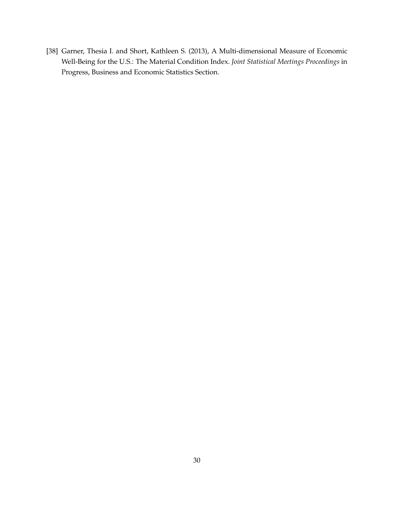[38] Garner, Thesia I. and Short, Kathleen S. (2013), A Multi-dimensional Measure of Economic Well-Being for the U.S.: The Material Condition Index. *Joint Statistical Meetings Proceedings* in Progress, Business and Economic Statistics Section.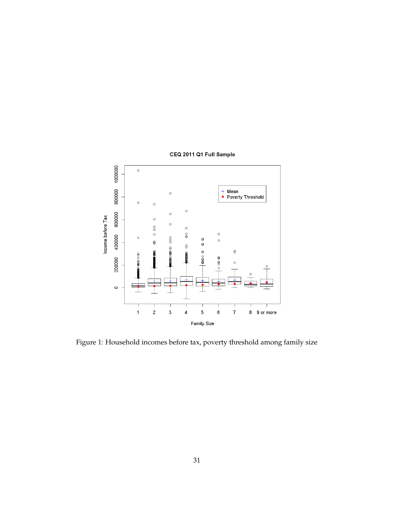

Figure 1: Household incomes before tax, poverty threshold among family size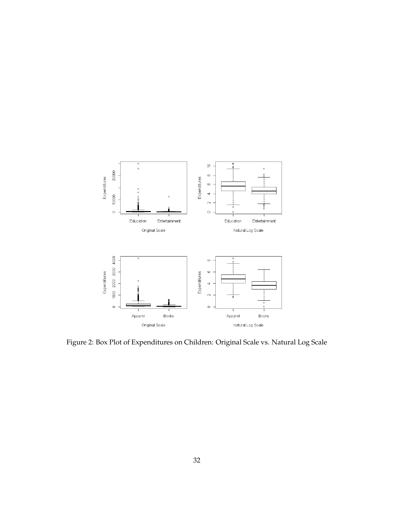

Figure 2: Box Plot of Expenditures on Children: Original Scale vs. Natural Log Scale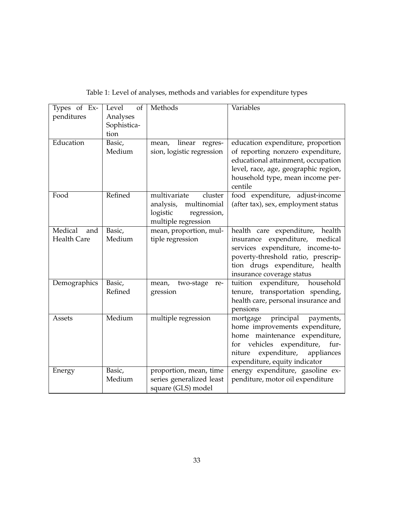| Types of Ex-<br>penditures           | Level<br>of<br>Analyses<br>Sophistica-<br>tion | Methods                                                                                               | Variables                                                                                                                                                                                                                 |
|--------------------------------------|------------------------------------------------|-------------------------------------------------------------------------------------------------------|---------------------------------------------------------------------------------------------------------------------------------------------------------------------------------------------------------------------------|
| Education                            | Basic,<br>Medium                               | linear regres-<br>mean,<br>sion, logistic regression                                                  | education expenditure, proportion<br>of reporting nonzero expenditure,<br>educational attainment, occupation<br>level, race, age, geographic region,<br>household type, mean income per-<br>centile                       |
| Food                                 | Refined                                        | multivariate<br>cluster<br>multinomial<br>analysis,<br>logistic<br>regression,<br>multiple regression | food expenditure, adjust-income<br>(after tax), sex, employment status                                                                                                                                                    |
| Medical<br>and<br><b>Health Care</b> | Basic,<br>Medium                               | mean, proportion, mul-<br>tiple regression                                                            | health care expenditure, health<br>insurance expenditure, medical<br>services expenditure, income-to-<br>poverty-threshold ratio, prescrip-<br>tion drugs expenditure,<br>health<br>insurance coverage status             |
| Demographics                         | Basic,<br>Refined                              | two-stage<br>mean,<br>re-<br>gression                                                                 | tuition expenditure, household<br>tenure, transportation spending,<br>health care, personal insurance and<br>pensions                                                                                                     |
| Assets                               | Medium                                         | multiple regression                                                                                   | principal<br>mortgage<br>payments,<br>home improvements expenditure,<br>home maintenance expenditure,<br>expenditure,<br>vehicles<br>fur-<br>for<br>expenditure,<br>niture<br>appliances<br>expenditure, equity indicator |
| Energy                               | Basic,<br>Medium                               | proportion, mean, time<br>series generalized least<br>square (GLS) model                              | energy expenditure, gasoline ex-<br>penditure, motor oil expenditure                                                                                                                                                      |

| Table 1: Level of analyses, methods and variables for expenditure types |  |  |  |
|-------------------------------------------------------------------------|--|--|--|
|-------------------------------------------------------------------------|--|--|--|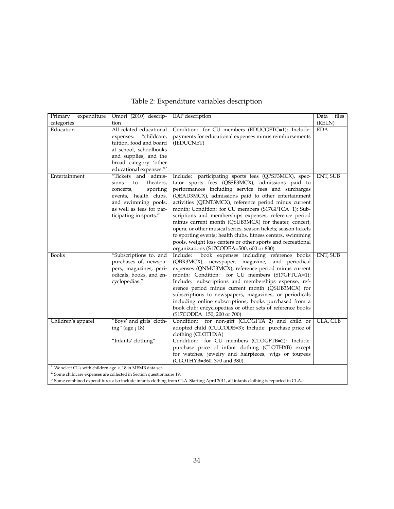| expenditure<br>Primary                                                               | Omori (2010) descrip-         | <b>EAP</b> description                                         | files<br>Data |
|--------------------------------------------------------------------------------------|-------------------------------|----------------------------------------------------------------|---------------|
| categories                                                                           | tion                          |                                                                | (RELN)        |
| Education                                                                            | All related educational       | Condition: for CU members (EDUCGFTC=1); Include:               | <b>EDA</b>    |
|                                                                                      | expenses: "childcare,         | payments for educational expenses minus reimbursements         |               |
|                                                                                      | tuition, food and board       | (JEDUCNET)                                                     |               |
|                                                                                      | at school, schoolbooks        |                                                                |               |
|                                                                                      | and supplies, and the         |                                                                |               |
|                                                                                      | broad category 'other         |                                                                |               |
|                                                                                      | educational expenses."'       |                                                                |               |
| Entertainment                                                                        | "Tickets and admis-           | Include: participating sports fees (QPSF3MCX), spec-           | ENT, SUB      |
|                                                                                      | theaters,<br>sions<br>to      | tator sports fees (QSSF3MCX), admissions paid to               |               |
|                                                                                      | sporting<br>concerts,         | performances including service fees and surcharges             |               |
|                                                                                      | events, health clubs,         | (QEAD3MCX), admissions paid to other entertainment             |               |
|                                                                                      | and swimming pools,           | activities (QENT3MCX), reference period minus current          |               |
|                                                                                      | as well as fees for par-      | month; Condition: for CU members (S17GFTCA=1); Sub-            |               |
|                                                                                      | ticipating in sports."        | scriptions and memberships expenses, reference period          |               |
|                                                                                      |                               | minus current month (QSUB3MCX) for theater, concert,           |               |
|                                                                                      |                               | opera, or other musical series, season tickets; season tickets |               |
|                                                                                      |                               |                                                                |               |
|                                                                                      |                               | to sporting events; health clubs, fitness centers, swimming    |               |
|                                                                                      |                               | pools, weight loss centers or other sports and recreational    |               |
|                                                                                      |                               | organizations (S17CODEA=500, 600 or 830)                       |               |
| <b>Books</b>                                                                         | "Subscriptions to, and        | book expenses including reference books<br>Include:            | ENT, SUB      |
|                                                                                      | purchases of, newspa-         | (QBR3MCX), newspaper, magazine, and periodical                 |               |
|                                                                                      | pers, magazines, peri-        | expenses (QNMG3MCX); reference period minus current            |               |
|                                                                                      | odicals, books, and en-       | month; Condition: for CU members (S17GFTCA=1);                 |               |
|                                                                                      | cyclopedias."                 | Include: subscriptions and memberships expense, ref-           |               |
|                                                                                      |                               | erence period minus current month (QSUB3MCX) for               |               |
|                                                                                      |                               | subscriptions to newspapers, magazines, or periodicals         |               |
|                                                                                      |                               | including online subscriptions; books purchased from a         |               |
|                                                                                      |                               | book club; encyclopedias or other sets of reference books      |               |
|                                                                                      |                               | (S17CODEA=150, 200 or 700)                                     |               |
| Children's apparel                                                                   | "Boys' and girls' cloth-      | Condition: for non-gift (CLOGFTA=2) and child or               | CLA, CLB      |
|                                                                                      | ing" (age $(18)$              | adopted child (CU_CODE=3); Include: purchase price of          |               |
|                                                                                      |                               | clothing (CLOTHXA)                                             |               |
|                                                                                      | "Infants' clothing"           | Condition: for CU members (CLOGFTB=2); Include:                |               |
|                                                                                      |                               | purchase price of infant clothing (CLOTHXB) except             |               |
|                                                                                      |                               | for watches, jewelry and hairpieces, wigs or toupees           |               |
|                                                                                      |                               | (CLOTHYB=360, 370 and 380)                                     |               |
| <sup>1</sup> We select CUs with children age $<$ 18 in MEMB data set.<br>$2^{\circ}$ | and the state of the state of |                                                                |               |

### Table 2: Expenditure variables description

 $2$  Some childcare expenses are collected in Section questionnaire 19.

 $^3$  Some combined expenditures also include infants clothing from CLA. Starting April 2011, all infants clothing is reported in CLA.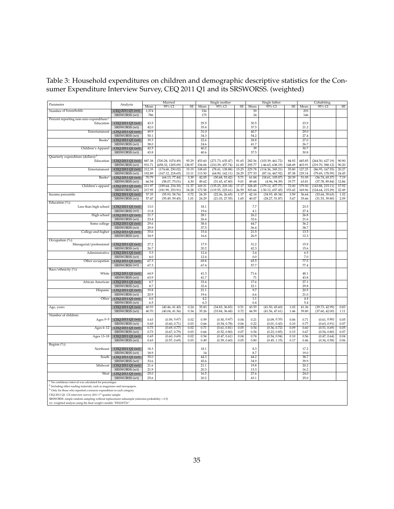Table 3: Household expenditures on children and demographic descriptive statistics for the Consumer Expenditure Interview Survey, CEQ 2011 Q1 and its SRSWORSS. (weighted)

|                                                                                                                                                              |                                   |                  | Married                              |                |                  | Single mother                      |                |                  | Single father                       |                |                  | Cohabiting                         |                |
|--------------------------------------------------------------------------------------------------------------------------------------------------------------|-----------------------------------|------------------|--------------------------------------|----------------|------------------|------------------------------------|----------------|------------------|-------------------------------------|----------------|------------------|------------------------------------|----------------|
| Parameter                                                                                                                                                    | Analysis                          | Mean             | 95% CI                               | SE             | Mean             | 95% CI                             | SE             | Mean             | 95% CI                              | SE             | Mean             | 95% CI                             | SE             |
| Number of households                                                                                                                                         | CEQ 2011 Q1 (wt)                  | 1,574            |                                      |                | 336              |                                    |                | 59               |                                     |                | 293              |                                    |                |
|                                                                                                                                                              | SRSWORSS (wt)                     | 786              |                                      |                | 175              |                                    |                | 24               |                                     |                | 146              |                                    |                |
| Percent reporting non-zero expenditure: <sup>2</sup>                                                                                                         |                                   |                  |                                      |                |                  |                                    |                |                  |                                     |                |                  |                                    |                |
| Education                                                                                                                                                    | CEQ 2011 Q1 (wt)                  | 43.5             |                                      |                | 29.5             |                                    |                | 30.5             |                                     |                | 23.9             |                                    |                |
| Entertainment                                                                                                                                                | SRSWORSS (wt)<br>CEQ 2011 Q1 (wt) | 42.0<br>49.9     |                                      |                | 35.4<br>31.0     |                                    |                | 37.5<br>40.7     |                                     |                | 21.2<br>29.0     |                                    |                |
|                                                                                                                                                              | SRSWORSS (wt)                     | 50.1             |                                      |                | 34.3             |                                    |                | 54.2             |                                     |                | 27.4             |                                    |                |
| Books <sup>2</sup>                                                                                                                                           | CEO 2011 Q1 (wt)                  | 39.3             |                                      |                | 22.6             |                                    |                | 28.8             |                                     |                | 27.0             |                                    |                |
|                                                                                                                                                              | SRSWORSS (wt)                     | 38.0             |                                      |                | 24.6             |                                    |                | 41.7             |                                     |                | 26.7             |                                    |                |
| Children's Apparel                                                                                                                                           | CEQ 2011 Q1 (wt)                  | 42.5             |                                      |                | 40.2             |                                    |                | 39               |                                     |                | 30.7             |                                    |                |
|                                                                                                                                                              | SRSWORSS (wt)                     | 43.8             |                                      |                | 40.6             |                                    |                | 37.5             |                                     |                | 30.8             |                                    |                |
| Quarterly expenditure (dollars):                                                                                                                             |                                   |                  |                                      |                |                  |                                    |                |                  |                                     |                |                  |                                    |                |
| Education                                                                                                                                                    | CEQ 2011 Q1 (wt)                  | 887.38           | (700.28, 1074.49)                    | 95.29          | 453.60           | (271.73, 635.47)                   | 91.65          | 282.56           | (103.39, 461.72)                    | 84.92          | 445.85           | (264.50, 627.19)                   | 90.90          |
|                                                                                                                                                              | SRSWORSS (wt)                     | 931.71           | (658.32, 1205.09)                    | 138.97         | 334.06           | (210.39, 457.74)                   | 61.85          | 295.77           | $(-46.65, 638.19)$                  | 148.49         | 403.91           | (219.70, 588.12)                   | 90.20          |
| Entertainment                                                                                                                                                | CEQ 2011 Q1 (wt)<br>SRSWORSS (wt) | 212.35<br>192.89 | (174.68, 250.02)<br>(167.12, 218.65) | 19.19<br>13.11 | 108.65<br>113.50 | (78.41, 138.88)<br>(64.90, 162.11) | 15.25<br>24.29 | 229.78<br>277.53 | (114.36, 345.21)<br>(87.14, 467.92) | 55.80<br>87.38 | 127.25<br>129.14 | (86.95, 167.55)<br>(79.69, 178.59) | 20.27<br>24.45 |
| Books <sup>2</sup>                                                                                                                                           | CEO 2011 O1 (wt)                  | 70.79            | (64.13, 77.44)                       | 3.39           | 42.05            | (30.68, 53.42)                     | 5.71           | 61.84            | (18.61, 105.07)                     | 20.39          | 51.05            | (36.74, 65.37)                     | 7.19           |
|                                                                                                                                                              | SRSWORSS (wt)                     | 66.54            | (58.07, 75.01)                       | 4.30           | 49.62            | (31.43, 67.80)                     | 9.01           | 49.68            | (4.96, 94.39)                       | 19.77          | 63.81            | (37.78, 89.84)                     | 12.86          |
| Children's apparel                                                                                                                                           | CEQ 2011 Q1 (wt)                  | 211.97           | (189.64, 234.30)                     | 11.37          | 169.21           | (135.25, 203.18)                   | 17.17          | 328.45           | (179.12, 477.77)                    | 72.00          | 179.50           | (143.88, 215.11)                   | 17.92          |
|                                                                                                                                                              | SRSWORSS (wt)                     | 217.95           | (181.99, 253.91)                     | 18.28          | 172.58           | (119.55, 225.61)                   | 26.59          | 303.66           | $(-50.12, 657.45)$                  | 153.42         | 169.96           | (124.64, 215.29)                   | 22.49          |
| Income percentile                                                                                                                                            | CEQ 2011 Q1 (wt)                  | 57.35            | (55.93, 58.76)                       | 0.72           | 24.35            | (22.06, 26.65)                     | 1.17           | 42.14            | (34.93, 49.34)                      | 3.59           | 36.64            | (33.64, 39.63)                     | 1.52           |
|                                                                                                                                                              | SRSWORSS (wt)                     | 57.47            | (55.49, 59.45)                       | 1.01           | 24.29            | (21.03, 27.55)                     | 1.65           | 40.07            | (28.27, 51.87)                      | 5.67           | 35.66            | (31.53, 39.80)                     | 2.09           |
| Education (%):                                                                                                                                               |                                   |                  |                                      |                |                  |                                    |                |                  |                                     |                |                  |                                    |                |
| Less than high school                                                                                                                                        | CEQ 2011 Q1 (wt)                  | 13.0             |                                      |                | 18.1             |                                    |                | 7.7              |                                     |                | 23.5             |                                    |                |
|                                                                                                                                                              | SRSWORSS (wt)                     | 11.8             |                                      |                | 19.6             |                                    |                | 4.1              |                                     |                | 27.4             |                                    |                |
| High school                                                                                                                                                  | CEQ 2011 Q1 (wt)<br>SRSWORSS (wt) | 21.7<br>23.4     |                                      |                | 28.1<br>26.4     |                                    |                | 26.2<br>32.6     |                                     |                | 26.8<br>21.6     |                                    |                |
| Some college                                                                                                                                                 | CEQ 2011 Q1 (wt)                  | 29.6             |                                      |                | 38.4             |                                    |                | 44.7             |                                     |                | 36.2             |                                    |                |
|                                                                                                                                                              | SRSWORSS (wt)                     | 29.9             |                                      |                | 37.5             |                                    |                | 36.4             |                                     |                | 38.7             |                                    |                |
| College and higher                                                                                                                                           | CEQ 2011 Q1 (wt)                  | 35.6             |                                      |                | 15.4             |                                    |                | 21.5             |                                     |                | 13.5             |                                    |                |
|                                                                                                                                                              | SRSWORSS (wt)                     | 34.9             |                                      |                | 16.6             |                                    |                | 26.9             |                                     |                | 12.3             |                                    |                |
| Occupation (%):                                                                                                                                              |                                   |                  |                                      |                |                  |                                    |                |                  |                                     |                |                  |                                    |                |
| Managerial/professional                                                                                                                                      | CEQ 2011 Q1 (wt)                  | 27.2             |                                      |                | 17.9             |                                    |                | 31.2             |                                     |                | 15.9             |                                    |                |
|                                                                                                                                                              | SRSWORSS (wt)                     | 26.7             |                                      |                | 20.2             |                                    |                | 42.3             |                                     |                | 15.6             |                                    |                |
| Administrative                                                                                                                                               | CEQ 2011 Q1 (wt)                  | 5.5              |                                      |                | 12.4             |                                    |                | 3.4              |                                     |                | 6.5              |                                    |                |
|                                                                                                                                                              | SRSWORSS (wt)                     | 6.0<br>67.3      |                                      |                | 12.4<br>69.8     |                                    |                | 0.0              |                                     |                | 7.0<br>77.5      |                                    |                |
| Other occupation                                                                                                                                             | CEQ 2011 Q1 (wt)<br>SRSWORSS (wt) | 67.3             |                                      |                | 67.4             |                                    |                | 65.5<br>57.7     |                                     |                | 77.4             |                                    |                |
| Race/ethnicity (%):                                                                                                                                          |                                   |                  |                                      |                |                  |                                    |                |                  |                                     |                |                  |                                    |                |
| White                                                                                                                                                        | CEQ 2011 Q1 (wt)                  | 64.9             |                                      |                | 41.3             |                                    |                | 71.6             |                                     |                | 48.1             |                                    |                |
|                                                                                                                                                              | SRSWORSS (wt)                     | 63.9             |                                      |                | 41.7             |                                    |                | 71               |                                     |                | 43.8             |                                    |                |
| African American                                                                                                                                             | CEQ 2011 Q1 (wt)                  | 8.7              |                                      |                | 33.4             |                                    |                | 17.6             |                                     |                | 27.1             |                                    |                |
|                                                                                                                                                              | SRSWORSS (wt)                     | 8.7              |                                      |                | 32.4             |                                    |                | 22.1             |                                     |                | 29.8             |                                    |                |
| Hispanic                                                                                                                                                     | CEQ 2011 Q1 (wt)                  | 19.8             |                                      |                | 21.1             |                                    |                | 9.7              |                                     |                | 20.5             |                                    |                |
|                                                                                                                                                              | SRSWORSS (wt)                     | 20.9             |                                      |                | 19.6             |                                    |                | 6.6              |                                     |                | 21.0             |                                    |                |
| Other                                                                                                                                                        | CEQ 2011 Q1 (wt)                  | 6.6<br>6.5       |                                      |                | 4.2<br>6.3       |                                    |                | 1.1<br>0.4       |                                     |                | 4.4<br>5.4       |                                    |                |
| Age, years                                                                                                                                                   | SRSWORSS (wt)<br>CEQ 2011 Q1 (wt) | 40.93            | (40.46, 41.40)                       | 0.24           | 35.83            | (34.83, 36.83)                     | 0.51           | 43.55            | (41.50, 45.60)                      | 1.02           | 41.36            | (39.73, 42.99)                     | 0.83           |
|                                                                                                                                                              | SRSWORSS (wt)                     | 40.70            | (40.04, 41.36)                       | 0.34           | 35.26            | (33.84, 36.68)                     | 0.72           | 44.59            | (41.56, 47.61)                      | 1.46           | 39.80            | (37.60, 42.00)                     | 1.11           |
| Number of children:                                                                                                                                          |                                   |                  |                                      |                |                  |                                    |                |                  |                                     |                |                  |                                    |                |
| Ages $0-5$                                                                                                                                                   | CEQ 2011 Q1 (wt)                  | 0.63             | (0.59, 0.67)                         | 0.02           | 0.59             | (0.50, 0.67)                       | 0.04           | 0.21             | (0.09, 0.33)                        | 0.06           | 0.71             | (0.61, 0.80)                       | 0.05           |
|                                                                                                                                                              | SRSWORSS (wt)                     | 0.65             | (0.60, 0.71)                         | 0.03           | 0.66             | (0.54, 0.78)                       | 0.06           | 0.22             | (0.01, 0.43)                        | 0.10           | 0.77             | (0.63, 0.91)                       | 0.07           |
| Ages 6-12                                                                                                                                                    | CEQ 2011 Q1 (wt)                  | 0.73             | (0.69, 0.77)                         | 0.02           | 0.71             | (0.61, 0.81)                       | 0.05           | 0.54             | (0.36, 0.72)                        | 0.09           | 0.60             | (0.51, 0.69)                       | 0.05           |
|                                                                                                                                                              | SRSWORSS (wt)                     | 0.73             | (0.67, 0.79)                         | 0.03           | 0.66             | (0.52, 0.80)                       | 0.07           | 0.54             | (0.23, 0.85)                        | 0.15           | 0.67             | (0.54, 0.80)                       | 0.07           |
| Ages 13-18                                                                                                                                                   | CEQ 2011 Q1 (wt)                  | 0.65             | (0.60, 0.69)                         | 0.02           | 0.54             | (0.47, 0.61)                       | 0.04           | 0.74             | (0.54, 0.94)                        | 0.10           | 0.56             | (0.47, 0.64)                       | 0.04           |
|                                                                                                                                                              | SRSWORSS (wt)                     | 0.63             | (0.57, 0.69)                         | 0.03           | 0.49             | (0.39, 0.60)                       | 0.05           | 0.80             | (0.45, 1.15)                        | 0.17           | 0.46             | (0.34, 0.58)                       | 0.06           |
| Region (%):<br>Northeast                                                                                                                                     | CEQ 2011 Q1 (wt)                  | 18.3             |                                      |                | 18.1             |                                    |                | 8.3              |                                     |                | 17.2             |                                    |                |
|                                                                                                                                                              | SRSWORSS (wt)                     | 18.9             |                                      |                | 14               |                                    |                | 8.7              |                                     |                | 19.0             |                                    |                |
| South                                                                                                                                                        | CEQ 2011 Q1 (wt)                  | 35.0             |                                      |                | 44.3             |                                    |                | 44.2             |                                     |                | 38.7             |                                    |                |
|                                                                                                                                                              | SRSWORSS (wt)                     | 33.6             |                                      |                | 45.6             |                                    |                | 34.9             |                                     |                | 39.9             |                                    |                |
| Midwest                                                                                                                                                      | CEQ 2011 Q1 (wt)                  | 21.6             |                                      |                | 21.1             |                                    |                | 19.8             |                                     |                | 20.2             |                                    |                |
|                                                                                                                                                              | SRSWORSS (wt)                     | 21.9             |                                      |                | 20.3             |                                    |                | 13.3             |                                     |                | 16.2             |                                    |                |
| West                                                                                                                                                         | CEO 2011 O1 (wt)                  | 25.0             |                                      |                | 16.5             |                                    |                | 27.6             |                                     |                | 24.0             |                                    |                |
|                                                                                                                                                              | SRSWORSS (wt)                     | 25.6             |                                      |                | 20.2             |                                    |                | 43.1             |                                     |                | 25.0             |                                    |                |
| <sup>1</sup> No confidence interval was calculated for percentages                                                                                           |                                   |                  |                                      |                |                  |                                    |                |                  |                                     |                |                  |                                    |                |
| $2$ Including other reading materials, such as magazines and newspapers.<br><sup>3</sup> Only for those who reported a nonzero expenditure in each category. |                                   |                  |                                      |                |                  |                                    |                |                  |                                     |                |                  |                                    |                |
| CEQ 2011 Q1: CE interview survey 2011 1st quarter sample                                                                                                     |                                   |                  |                                      |                |                  |                                    |                |                  |                                     |                |                  |                                    |                |
| SRSWORSS: simple random sampling without replacement subsample (selection probability = 0.5)                                                                 |                                   |                  |                                      |                |                  |                                    |                |                  |                                     |                |                  |                                    |                |
| wt: weighted analysis using the final weight variable "FINLWT21"                                                                                             |                                   |                  |                                      |                |                  |                                    |                |                  |                                     |                |                  |                                    |                |
|                                                                                                                                                              |                                   |                  |                                      |                |                  |                                    |                |                  |                                     |                |                  |                                    |                |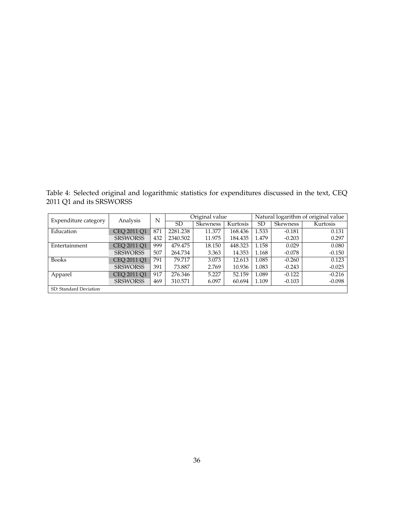Table 4: Selected original and logarithmic statistics for expenditures discussed in the text, CEQ 2011 Q1 and its SRSWORSS

| Expenditure category   | Analysis        | N   |           | Original value |          | Natural logarithm of original value |          |          |  |  |
|------------------------|-----------------|-----|-----------|----------------|----------|-------------------------------------|----------|----------|--|--|
|                        |                 |     | <b>SD</b> | Skewness       | Kurtosis | SD                                  | Skewness | Kurtosis |  |  |
| Education              | CEO 2011 O1     | 871 | 2281.238  | 11.377         | 168.436  | 1.533                               | $-0.181$ | 0.131    |  |  |
|                        | <b>SRSWORSS</b> | 432 | 2340.502  | 11.975         | 184.435  | 1.479                               | $-0.203$ | 0.297    |  |  |
| Entertainment          | CEO 2011 O1     | 999 | 479.475   | 18.150         | 448.323  | 1.158                               | 0.029    | 0.080    |  |  |
|                        | <b>SRSWORSS</b> | 507 | 264.734   | 3.363          | 14.353   | 1.168                               | $-0.078$ | $-0.150$ |  |  |
| <b>Books</b>           | CEO 2011 O1     | 791 | 79.717    | 3.073          | 12.613   | 1.085                               | $-0.260$ | 0.123    |  |  |
|                        | <b>SRSWORSS</b> | 391 | 73.887    | 2.769          | 10.936   | 1.083                               | $-0.243$ | $-0.025$ |  |  |
| Apparel                | CEO 2011 O1     | 917 | 276.346   | 5.227          | 52.159   | 1.089                               | $-0.122$ | $-0.216$ |  |  |
|                        | <b>SRSWORSS</b> | 469 | 310.571   | 6.097          | 60.694   | 1.109                               | $-0.103$ | $-0.098$ |  |  |
| SD: Standard Deviation |                 |     |           |                |          |                                     |          |          |  |  |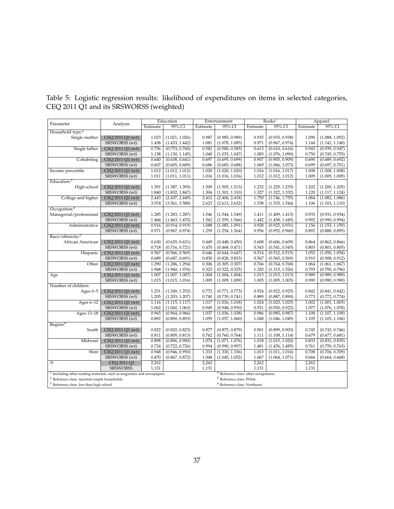|  |                                         | Table 5: Logistic regression results: likelihood of expenditures on items in selected categories, |  |  |  |  |
|--|-----------------------------------------|---------------------------------------------------------------------------------------------------|--|--|--|--|
|  | CEQ 2011 Q1 and its SRSWORSS (weighted) |                                                                                                   |  |  |  |  |

|                                                                          |                                                                                                  |          | Education      | Entertainment |                                                  | Books <sup>1</sup> |                | Apparel  |                |
|--------------------------------------------------------------------------|--------------------------------------------------------------------------------------------------|----------|----------------|---------------|--------------------------------------------------|--------------------|----------------|----------|----------------|
| Parameter                                                                | Analysis                                                                                         | Estimate | 95% CI         | Estimate      | 95% CI                                           | Estimate           | 95% CI         | Estimate | 95% CI         |
| Household type: <sup>2</sup>                                             |                                                                                                  |          |                |               |                                                  |                    |                |          |                |
| Single mother                                                            | CEQ 2011 Q1 (wt)                                                                                 | 1.023    | (1.021, 1.026) | 0.987         | (0.985, 0.989)                                   | 0.935              | (0.933, 0.938) | 1.090    | (1.088, 1.092) |
|                                                                          | SRSWORSS (wt)                                                                                    | 1.438    | (1.433, 1.442) | 1.081         | (1.078, 1.085)                                   | 0.971              | (0.967, 0.974) | 1.144    | (1.141, 1.148) |
| Single father                                                            | CEQ 2011 Q1 (wt)                                                                                 | 0.756    | (0.753, 0.760) | 0.582         | (0.580, 0.585)                                   | 0.613              | (0.610, 0.616) | 0.943    | (0.939, 0.947) |
|                                                                          | SRSWORSS (wt)                                                                                    | 1.138    | (1.130, 1.145) | 1.040         | (1.033, 1.047)                                   | 1.083              | (1.076, 1.090) | 0.750    | (0.745, 0.755) |
| Cohabiting                                                               | CEQ 2011 Q1 (wt)                                                                                 | 0.640    | (0.638, 0.641) | 0.697         | (0.695, 0.699)                                   | 0.907              | (0.905, 0.909) | 0.690    | (0.689, 0.692) |
|                                                                          | SRSWORSS (wt)                                                                                    | 0.607    | (0.605, 0.609) | 0.686         | (0.683, 0.688)                                   | 1.069              | (1.066, 1.073) | 0.699    | (0.697, 0.701) |
| Income percentile                                                        | CEQ 2011 Q1 (wt)                                                                                 | 1.012    | (1.012, 1.012) | 1.020         | (1.020, 1.020)                                   | 1.016              | (1.016, 1.017) | 1.008    | (1.008, 1.008) |
|                                                                          | SRSWORSS (wt)                                                                                    | 1.011    | (1.011, 1.011) | 1.016         | (1.016, 1.016)                                   | 1.012              | (1.012, 1.012) | 1.009    | (1.009, 1.009) |
| Education: <sup>3</sup>                                                  |                                                                                                  |          |                |               |                                                  |                    |                |          |                |
| High school                                                              | CEQ 2011 Q1 (wt)                                                                                 | 1.391    | (1.387, 1.395) | 1.509         | (1.505, 1.513)                                   | 1.232              | (1.229, 1.235) | 1.202    | (1.200, 1.205) |
|                                                                          | SRSWORSS (wt)                                                                                    | 1.840    | (1.832, 1.847) | 1.306         | (1.301, 1.310)                                   | 1.327              | (1.322, 1.332) | 1.120    | (1.117, 1.124) |
| College and higher                                                       | CEQ 2011 Q1 (wt)                                                                                 | 2.443    | (2.437, 2.449) | 2.412         | (2.406, 2.418)                                   | 1.750              | (1.746, 1.755) | 1.084    | (1.082, 1.086) |
|                                                                          | SRSWORSS (wt)                                                                                    | 3.574    | (3.561, 3.588) | 2.623         | (2.613, 2.632)                                   | 1.538              | (1.533, 1.544) | 1.106    | (1.103, 1.110) |
| Occupation: <sup>4</sup>                                                 |                                                                                                  |          |                |               |                                                  |                    |                |          |                |
| Managerial/professional                                                  | CEQ 2011 Q1 (wt)                                                                                 | 1.285    | (1.283, 1.287) | 1.546         | (1.544, 1.549)                                   | 1.411              | (1.409, 1.413) | 0.933    | (0.931, 0.934) |
|                                                                          | SRSWORSS (wt)                                                                                    | 1.466    | (1.463, 1.470) | 1.562         | (1.559, 1.566)                                   | 1.442              | (1.438, 1.445) | 0.992    | (0.990, 0.994) |
| Administrative                                                           | CEQ 2011 Q1 (wt)                                                                                 | 0.916    | (0.914, 0.919) | 1.088         | (1.085, 1.091)                                   | 0.928              | (0.925, 0.931) | 1.156    | (1.153, 1.159) |
|                                                                          | SRSWORSS (wt)                                                                                    | 0.971    | (0.967, 0.974) | 1.259         | (1.254, 1.264)                                   | 0.956              | (0.952, 0.960) | 0.892    | (0.888, 0.895) |
| Race/ethnicity: <sup>5</sup>                                             |                                                                                                  |          |                |               |                                                  |                    |                |          |                |
| African American                                                         | CEQ 2011 Q1 (wt)                                                                                 | 0.630    | (0.629, 0.631) | 0.449         | (0.448, 0.450)                                   | 0.608              | (0.606, 0.609) | 0.864    | (0.862, 0.866) |
|                                                                          | SRSWORSS (wt)                                                                                    | 0.718    | (0.716, 0.721) | 0.470         | (0.468, 0.471)                                   | 0.543              | (0.541, 0.545) | 0.803    | (0.801, 0.805) |
| Hispanic                                                                 | CEQ 2011 Q1 (wt)                                                                                 | 0.567    | (0.566, 0.569) | 0.646         | (0.644, 0.647)                                   | 0.514              | (0.512, 0.515) | 1.052    | (1.050, 1.054) |
|                                                                          | SRSWORSS (wt)                                                                                    | 0.689    | (0.687, 0.691) | 0.830         | (0.828, 0.833)                                   | 0.567              | (0.565, 0.569) | 0.910    | (0.908, 0.912) |
| Other                                                                    | CEQ 2011 Q1 (wt)                                                                                 | 1.290    | (1.286, 1.294) | 0.306         | (0.305, 0.307)                                   | 0.766              | (0.764, 0.768) | 1.064    | (1.061, 1.067) |
|                                                                          | SRSWORSS (wt)                                                                                    | 1.968    | (1.960, 1.976) | 0.323         | (0.322, 0.325)                                   | 1.320              | (1.315, 1.326) | 0.793    | (0.790, 0.796) |
| Age                                                                      | CEQ 2011 Q1 (wt)                                                                                 | 1.007    | (1.007, 1.007) | 1.004         | (1.004, 1.004)                                   | 1.013              | (1.013, 1.013) | 0.989    | (0.989, 0.989) |
|                                                                          | SRSWORSS (wt)                                                                                    | 1.015    | (1.015, 1.016) | 1.009         | (1.009, 1.009)                                   | 1.005              | (1.005, 1.005) | 0.990    | (0.990, 0.990) |
| Number of children:                                                      |                                                                                                  |          |                |               |                                                  |                    |                |          |                |
| Ages $0-5$                                                               | CEO 2011 O1 (wt)                                                                                 | 1.251    | (1.249, 1.252) | 0.772         | (0.771, 0.773)                                   | 0.924              | (0.922, 0.925) | 0.842    | (0.841, 0.842) |
|                                                                          | SRSWORSS (wt)                                                                                    | 1.205    | (1.203, 1.207) | 0.740         | (0.739, 0.741)                                   | 0.889              | (0.887, 0.890) | 0.773    | (0.772, 0.774) |
| Ages 6-12                                                                | CEQ 2011 Q1 (wt)                                                                                 | 1.116    | (1.115, 1.117) | 1.017         | (1.016, 1.018)                                   | 1.024              | (1.023, 1.025) | 1.002    | (1.001, 1.003) |
|                                                                          | SRSWORSS (wt)                                                                                    | 1.062    | (1.060, 1.063) | 0.949         | (0.948, 0.950)                                   | 0.921              | (0.920, 0.922) | 1.077    | (1.076, 1.078) |
| Ages 13-18                                                               | CEQ 2011 Q1 (wt)                                                                                 | 0.965    | (0.964, 0.966) | 1.037         | (1.036, 1.038)                                   | 0.986              | (0.985, 0.987) | 1.108    | (1.107, 1.109) |
|                                                                          | SRSWORSS (wt)                                                                                    | 0.892    | (0.890, 0.893) | 1.059         | (1.057, 1.060)                                   | 1.048              | (1.046, 1.049) | 1.105    | (1.103, 1.106) |
| Region: <sup>6</sup>                                                     |                                                                                                  |          |                |               |                                                  |                    |                |          |                |
| South                                                                    | CEQ 2011 Q1 (wt)                                                                                 | 0.822    | (0.820, 0.823) | 0.877         | (0.875, 0.879)                                   | 0.901              | (0.899, 0.903) | 0.745    | (0.743, 0.746) |
|                                                                          | SRSWORSS (wt)                                                                                    | 0.811    | (0.809, 0.813) | 0.762         | (0.760, 0.764)                                   | 1.111              | (1.108, 1.114) | 0.679    | (0.677, 0.681) |
| Midwest                                                                  | CEQ 2011 Q1 (wt)                                                                                 | 0.898    | (0.896, 0.900) | 1.074         | (1.071, 1.076)                                   | 1.018              | (1.015, 1.020) | 0.833    | (0.831, 0.835) |
|                                                                          | SRSWORSS (wt)                                                                                    | 0.724    | (0.722, 0.726) | 0.994         | (0.990, 0.997)                                   | 1.481              | (1.476, 1.485) | 0.761    | (0.759, 0.763) |
| West                                                                     | CEQ 2011 Q1 (wt)                                                                                 | 0.948    | (0.946, 0.950) | 1.333         | (1.330, 1.336)                                   | 1.013              | (1.011, 1.016) | 0.708    | (0.706, 0.709) |
|                                                                          | SRSWORSS (wt)                                                                                    | 0.870    | (0.867, 0.872) | 1.048         | (1.045, 1.052)                                   | 1.067              | (1.064, 1.071) | 0.666    | (0.664, 0.668) |
| N                                                                        | CEQ 2011 Q1                                                                                      | 2,262    |                | 2,262         |                                                  | 2,262              |                | 2,262    |                |
|                                                                          | <b>SRSWORSS</b>                                                                                  | 1,131    |                | 1,131         |                                                  | 1,131              |                | 1,131    |                |
| $1$ Including other reading materials, such as magazines and newspapers. |                                                                                                  |          |                |               | <sup>4</sup> Reference class: other occupations. |                    |                |          |                |
| $^2$ Reference class: married-couple households.                         |                                                                                                  |          |                |               | <sup>5</sup> Reference class: White.             |                    |                |          |                |
|                                                                          | <sup>3</sup> Reference class: less than high school.<br><sup>6</sup> Reference class: Northeast. |          |                |               |                                                  |                    |                |          |                |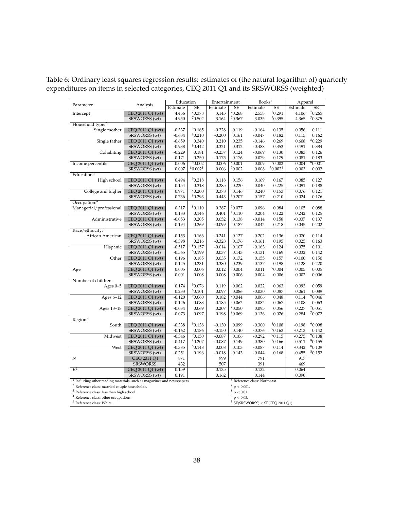|                                                                                                                                               |                  | Education |                       | Entertainment                                               |                    | Books <sup>1</sup>                        |                       | Apparel  |             |
|-----------------------------------------------------------------------------------------------------------------------------------------------|------------------|-----------|-----------------------|-------------------------------------------------------------|--------------------|-------------------------------------------|-----------------------|----------|-------------|
| Parameter                                                                                                                                     | Analysis         | Estimate  | SE                    | Estimate                                                    | SE                 | Estimate                                  | SE                    | Estimate | SE          |
| Intercept                                                                                                                                     | CEQ 2011 Q1 (wt) | 4.456     | 70.378                | 3.145                                                       | 70.268             | 2.558                                     | 70.291                | 4.106    | 70.265      |
|                                                                                                                                               | SRSWORSS (wt)    | 4.950     | 70.502                | 3.164                                                       | 70.367             | 3.035                                     | 70.395                | 4.365    | 70.375      |
| Household type: <sup>2</sup>                                                                                                                  |                  |           |                       |                                                             |                    |                                           |                       |          |             |
| Single mother                                                                                                                                 | CEQ 2011 Q1 (wt) | $-0.337$  | 90.165                | $-0.228$                                                    | 0.119              | $-0.164$                                  | 0.135                 | 0.056    | 0.111       |
|                                                                                                                                               | SRSWORSS (wt)    | $-0.634$  | 80.210                | $-0.200$                                                    | 0.161              | $-0.047$                                  | 0.182                 | 0.115    | 0.162       |
| Single father                                                                                                                                 | CEQ 2011 Q1 (wt) | $-0.659$  | 0.340                 | 0.210                                                       | 0.235              | $-0.146$                                  | 0.269                 | 0.608    | 80.229      |
|                                                                                                                                               | SRSWORSS (wt)    | $-0.938$  | 90.442                | 0.321                                                       | 0.312              | $-0.488$                                  | 0.353                 | 0.491    | 0.384       |
| Cohabiting                                                                                                                                    | CEQ 2011 Q1 (wt) | $-0.229$  | 0.181                 | $-0.237$                                                    | 0.124              | $-0.069$                                  | 0.130                 | 0.083    | 0.126       |
|                                                                                                                                               | SRSWORSS (wt)    | $-0.171$  | 0.250                 | $-0.175$                                                    | 0.176              | 0.079                                     | 0.179                 | 0.081    | 0.183       |
| Income percentile                                                                                                                             | CEQ 2011 Q1 (wt) | 0.006     | <sup>8</sup> 0.002    | 0.006                                                       | 70.001             | 0.009                                     | 70.002                | 0.004    | 80.001      |
|                                                                                                                                               | SRSWORSS (wt)    | 0.007     | $80.002$ <sup>+</sup> | 0.006                                                       | 70.002             | 0.008                                     | $70.002$ <sup>+</sup> | 0.003    | 0.002       |
| Education: <sup>3</sup>                                                                                                                       |                  |           |                       |                                                             |                    |                                           |                       |          |             |
| High school                                                                                                                                   | CEQ 2011 Q1 (wt) | 0.494     | 90.218                | 0.118                                                       | 0.156              | 0.169                                     | 0.167                 | 0.085    | 0.127       |
|                                                                                                                                               | SRSWORSS (wt)    | 0.154     | 0.318                 | 0.285                                                       | 0.220              | 0.040                                     | 0.225                 | 0.091    | 0.188       |
| College and higher                                                                                                                            | CEQ 2011 Q1 (wt) | 0.971     | 70.200                | 0.378                                                       | 90.146             | 0.240                                     | 0.153                 | 0.076    | 0.121       |
|                                                                                                                                               | SRSWORSS (wt)    | 0.736     | 80.293                | 0.443                                                       | 90.207             | 0.157                                     | 0.210                 | 0.024    | 0.176       |
| Occupation: <sup>4</sup>                                                                                                                      |                  |           |                       |                                                             |                    |                                           |                       |          |             |
| Managerial/professional                                                                                                                       | CEQ 2011 Q1 (wt) | 0.317     | <sup>8</sup> 0.110    | 0.287                                                       | 70.077             | 0.096                                     | 0.084                 | 0.105    | 0.088       |
|                                                                                                                                               | SRSWORSS (wt)    | 0.183     | 0.146                 | 0.401                                                       | 70.110             | 0.204                                     | 0.122                 | 0.242    | 0.125       |
| Administrative                                                                                                                                | CEQ 2011 Q1 (wt) | $-0.053$  | 0.205                 | 0.052                                                       | 0.138              | $-0.014$                                  | 0.158                 | $-0.037$ | 0.137       |
|                                                                                                                                               | SRSWORSS (wt)    | $-0.194$  | 0.269                 | $-0.099$                                                    | 0.187              | $-0.042$                                  | 0.218                 | 0.045    | 0.202       |
| Race/ethnicity: <sup>5</sup>                                                                                                                  |                  |           |                       |                                                             |                    |                                           |                       |          |             |
| African American                                                                                                                              | CEQ 2011 Q1 (wt) | $-0.153$  | 0.166                 | $-0.241$                                                    | 0.127              | $-0.202$                                  | 0.136                 | 0.070    | 0.114       |
|                                                                                                                                               | SRSWORSS (wt)    | $-0.398$  | 0.216                 | $-0.328$                                                    | 0.176              | $-0.161$                                  | 0.195                 | 0.025    | 0.163       |
| Hispanic                                                                                                                                      | CEQ 2011 Q1 (wt) | $-0.517$  | 80.157                | $-0.014$                                                    | 0.107              | $-0.163$                                  | 0.124                 | 0.075    | 0.101       |
|                                                                                                                                               | SRSWORSS (wt)    | $-0.565$  | 80.199                | 0.037                                                       | 0.143              | $-0.131$                                  | 0.169                 | $-0.032$ | 0.142       |
| Other                                                                                                                                         | CEQ 2011 Q1 (wt) | 0.196     | 0.185                 | 0.035                                                       | 0.172              | 0.155                                     | 0.157                 | $-0.100$ | 0.150       |
|                                                                                                                                               | SRSWORSS (wt)    | 0.125     | 0.231                 | 0.380                                                       | 0.239              | 0.137                                     | 0.198                 | $-0.128$ | 0.220       |
| Age                                                                                                                                           | CEQ 2011 Q1 (wt) | 0.005     | 0.006                 | 0.012                                                       | 80.004             | 0.011                                     | 90.004                | 0.005    | 0.005       |
|                                                                                                                                               | SRSWORSS (wt)    | 0.001     | 0.008                 | 0.008                                                       | 0.006              | 0.004                                     | 0.006                 | 0.002    | 0.006       |
| Number of children:                                                                                                                           |                  |           |                       |                                                             |                    |                                           |                       |          |             |
| Ages $0-5$                                                                                                                                    | CEQ 2011 Q1 (wt) | 0.174     | 90.076                | 0.119                                                       | 0.062              | 0.022                                     | 0.063                 | 0.093    | 0.059       |
|                                                                                                                                               | SRSWORSS (wt)    | 0.233     | <sup>8</sup> 0.101    | 0.097                                                       | 0.086              | $-0.030$                                  | 0.087                 | 0.061    | 0.089       |
| Ages 6-12                                                                                                                                     | CEQ 2011 Q1 (wt) | $-0.120$  | 90.060                | 0.182                                                       | 70.044             | 0.006                                     | 0.048                 | 0.114    | 90.046      |
|                                                                                                                                               | SRSWORSS (wt)    | $-0.126$  | 0.083                 | 0.185                                                       | 80.062             | $-0.082$                                  | 0.067                 | 0.108    | 0.063       |
| Ages 13-18                                                                                                                                    | CEQ 2011 Q1 (wt) | $-0.034$  | 0.069                 | 0.207                                                       | 70.050             | 0.095                                     | 0.056                 | 0.227    | 70.051      |
|                                                                                                                                               | SRSWORSS (wt)    | $-0.073$  | 0.097                 | 0.198                                                       | <sup>8</sup> 0.069 | 0.136                                     | 0.076                 | 0.284    | 70.072      |
| Region: <sup>6</sup>                                                                                                                          |                  |           |                       |                                                             |                    |                                           |                       |          |             |
| South                                                                                                                                         | CEQ 2011 Q1 (wt) | $-0.338$  | 90.138                | $-0.130$                                                    | 0.099              | $-0.300$                                  | 80.108                | $-0.198$ | $^90.098\,$ |
|                                                                                                                                               | SRSWORSS (wt)    | $-0.162$  | 0.186                 | $-0.150$                                                    | 0.140              | $-0.376$                                  | 90.163                | $-0.213$ | 0.142       |
| Midwest                                                                                                                                       | CEQ 2011 Q1 (wt) | $-0.346$  | 90.150                | $-0.087$                                                    | 0.106              | $-0.292$                                  | 90.115                | $-0.275$ | 90.108      |
|                                                                                                                                               | SRSWORSS (wt)    | $-0.417$  | 90.207                | $-0.087$                                                    | 0.149              | $-0.380$                                  | 90.166                | $-0.511$ | 80.155      |
| West                                                                                                                                          | CEQ 2011 Q1 (wt) | $-0.385$  | 80.148                | 0.008                                                       | 0.103              | $-0.087$                                  | 0.114                 | $-0.342$ | 80.109      |
|                                                                                                                                               | SRSWORSS (wt)    | $-0.251$  | 0.196                 | $-0.018$                                                    | 0.143              | $-0.044$                                  | 0.168                 | $-0.455$ | 80.152      |
| $\overline{N}$                                                                                                                                | CEQ 2011 Q1      | 871       |                       | 999                                                         |                    | 791                                       |                       | 917      |             |
|                                                                                                                                               | <b>SRSWORSS</b>  | 432       |                       | 507                                                         |                    | 391                                       |                       | 469      |             |
| $\overline{R^2}$                                                                                                                              | CEQ 2011 Q1 (wt) | 0.159     |                       | 0.135                                                       |                    | 0.132                                     |                       | 0.064    |             |
|                                                                                                                                               | SRSWORSS (wt)    | 0.191     |                       | 0.162                                                       |                    | 0.144                                     |                       | 0.090    |             |
|                                                                                                                                               |                  |           |                       |                                                             |                    |                                           |                       |          |             |
| <sup>1</sup> Including other reading materials, such as magazines and newspapers.<br><sup>2</sup> Reference class: married-couple households. |                  |           |                       | <sup>6</sup> Reference class: Northeast.<br>$7 p < 0.001$ . |                    |                                           |                       |          |             |
| <sup>3</sup> Reference class: less than high school.                                                                                          |                  |           |                       | $8 p < 0.01$ .                                              |                    |                                           |                       |          |             |
| <sup>4</sup> Reference class: other occupations.                                                                                              |                  |           |                       | $p < 0.05$ .                                                |                    |                                           |                       |          |             |
| $5$ Reference class: White.                                                                                                                   |                  |           |                       |                                                             |                    |                                           |                       |          |             |
|                                                                                                                                               |                  |           |                       |                                                             |                    | $\dagger$ SE(SRSWORSS) < SE(CEQ 2011 Q1). |                       |          |             |

Table 6: Ordinary least squares regression results: estimates of (the natural logarithm of) quarterly expenditures on items in selected categories, CEQ 2011 Q1 and its SRSWORSS (weighted)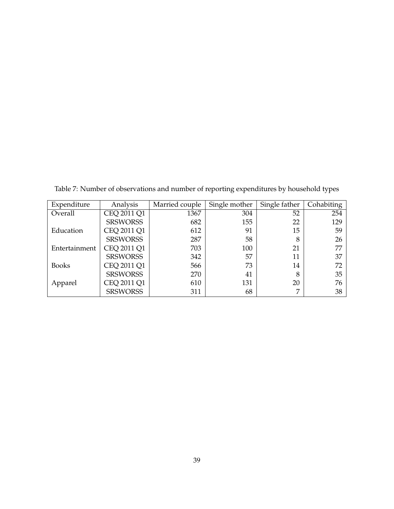Expenditure | Analysis | Married couple | Single mother | Single father | Cohabiting Overall CEQ 2011 Q1 1367 304 52 254 SRSWORSS 682 155 22 22 Education  $CEQ 2011 Q1$  612 91 15 59 SRSWORSS 287 58 8 26 Entertainment CEQ 2011 Q1 703 703 100 21 77 SRSWORSS 342 57 11 37 Books  $CEQ 2011 Q1$  566 73 14 72 SRSWORSS 270 41 8 35 Apparel CEQ 2011 Q1 610 131 20 76<br>SRSWORSS 311 68 7 38 SRSWORSS 311

Table 7: Number of observations and number of reporting expenditures by household types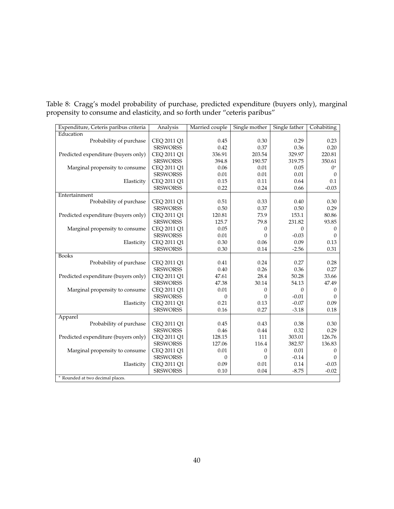Table 8: Cragg's model probability of purchase, predicted expenditure (buyers only), marginal propensity to consume and elasticity, and so forth under "ceteris paribus"

| Expenditure, Ceteris paribus criteria | Analysis        | Married couple | Single mother | Single father | Cohabiting       |  |  |
|---------------------------------------|-----------------|----------------|---------------|---------------|------------------|--|--|
| Education                             |                 |                |               |               |                  |  |  |
| Probability of purchase               | CEQ 2011 Q1     | 0.45           | 0.30          | 0.29          | 0.23             |  |  |
|                                       | <b>SRSWORSS</b> | 0.42           | 0.37          | 0.36          | 0.20             |  |  |
| Predicted expenditure (buyers only)   | CEQ 2011 Q1     | 336.91         | 203.54        | 329.97        | 220.81           |  |  |
|                                       | <b>SRSWORSS</b> | 394.8          | 190.57        | 319.75        | 350.61           |  |  |
| Marginal propensity to consume        | CEQ 2011 Q1     | 0.06           | 0.01          | 0.05          | $0^*$            |  |  |
|                                       | <b>SRSWORSS</b> | 0.01           | 0.01          | 0.01          | $\boldsymbol{0}$ |  |  |
| Elasticity                            | CEQ 2011 Q1     | 0.15           | 0.11          | 0.64          | 0.1              |  |  |
|                                       | <b>SRSWORSS</b> | 0.22           | 0.24          | 0.66          | $-0.03$          |  |  |
| Entertainment                         |                 |                |               |               |                  |  |  |
| Probability of purchase               | CEQ 2011 Q1     | 0.51           | 0.33          | 0.40          | 0.30             |  |  |
|                                       | <b>SRSWORSS</b> | 0.50           | 0.37          | 0.50          | 0.29             |  |  |
| Predicted expenditure (buyers only)   | CEQ 2011 Q1     | 120.81         | 73.9          | 153.1         | 80.86            |  |  |
|                                       | <b>SRSWORSS</b> | 125.7          | 79.8          | 231.82        | 93.85            |  |  |
| Marginal propensity to consume        | CEQ 2011 Q1     | 0.05           | 0             | $\Omega$      | $\boldsymbol{0}$ |  |  |
|                                       | <b>SRSWORSS</b> | 0.01           | $\Omega$      | $-0.03$       | $\theta$         |  |  |
| Elasticity                            | CEQ 2011 Q1     | 0.30           | 0.06          | 0.09          | 0.13             |  |  |
|                                       | <b>SRSWORSS</b> | 0.30           | 0.14          | $-2.56$       | 0.31             |  |  |
| <b>Books</b>                          |                 |                |               |               |                  |  |  |
| Probability of purchase               | CEQ 2011 Q1     | 0.41           | 0.24          | 0.27          | 0.28             |  |  |
|                                       | <b>SRSWORSS</b> | 0.40           | 0.26          | 0.36          | 0.27             |  |  |
| Predicted expenditure (buyers only)   | CEQ 2011 Q1     | 47.61          | 28.4          | 50.28         | 33.66            |  |  |
|                                       | <b>SRSWORSS</b> | 47.38          | 30.14         | 54.13         | 47.49            |  |  |
| Marginal propensity to consume        | CEQ 2011 Q1     | 0.01           | 0             | $\mathbf{0}$  | $\boldsymbol{0}$ |  |  |
|                                       | <b>SRSWORSS</b> | 0              | $\theta$      | $-0.01$       | $\theta$         |  |  |
| Elasticity                            | CEQ 2011 Q1     | 0.21           | 0.13          | $-0.07$       | 0.09             |  |  |
|                                       | <b>SRSWORSS</b> | 0.16           | 0.27          | $-3.18$       | 0.18             |  |  |
| Apparel                               |                 |                |               |               |                  |  |  |
| Probability of purchase               | CEQ 2011 Q1     | 0.45           | 0.43          | 0.38          | 0.30             |  |  |
|                                       | <b>SRSWORSS</b> | 0.46           | 0.44          | 0.32          | 0.29             |  |  |
| Predicted expenditure (buyers only)   | CEQ 2011 Q1     | 128.15         | 111           | 303.01        | 126.76           |  |  |
|                                       | <b>SRSWORSS</b> | 127.06         | 116.4         | 382.57        | 136.83           |  |  |
| Marginal propensity to consume        | CEQ 2011 Q1     | 0.01           | 0             | 0.01          | $\boldsymbol{0}$ |  |  |
|                                       | <b>SRSWORSS</b> | 0              | $\mathbf{0}$  | $-0.14$       | $\theta$         |  |  |
| Elasticity                            | CEQ 2011 Q1     | 0.09           | 0.01          | 0.14          | $-0.03$          |  |  |
|                                       | <b>SRSWORSS</b> | 0.10           | 0.04          | $-8.75$       | $-0.02$          |  |  |
| * Rounded at two decimal places.      |                 |                |               |               |                  |  |  |